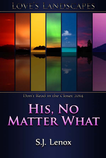## LOVE'S LANDSCAPES



Don't Read in the Closet 2014

# HIS, NO **MATTER WHAT**

S.J. Lenox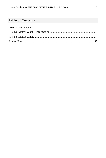### **Table of Contents**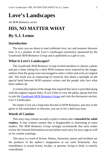### <span id="page-2-0"></span>**Love's Landscapes**

*An M/M Romance series*

### **HIS, NO MATTER WHAT By S.J. Lenox**

### **Introduction**

The story you are about to read celebrates love, sex and romance between men. It is a product of the *Love's Landscapes* promotion sponsored by the *Goodreads M/M Romance Group* and is published as a gift to you.

### **What Is Love's Landscapes?**

The *Goodreads M/M Romance Group* invited members to choose a photo and pen a letter asking for a short M/M romance story inspired by the image; authors from the group were encouraged to select a letter and write an original tale. The result was an outpouring of creativity that shone a spotlight on the special bond between M/M romance writers and the people who love what these authors do.

A written description of the image that inspired this story is provided along with the original request letter. If you'd like to view the photo, please feel free to join the [Goodreads M/M Romance Group](http://www.goodreads.com/group/show/20149-m-m-romance) and visit the discussion section: *Love's Landscapes*.

No matter if you are a long-time devotee to M/M Romance, just new to the genre or fall somewhere in between, you are in for a delicious treat.

### **Words of Caution**

This story may contain sexually explicit content and is **intended for adult readers.** It may contain content that is disagreeable or distressing to some readers. The *M/M Romance Group* strongly recommends that each reader review the General Information section before each story for story tags as well as for content warnings.

This story is a work of fiction. Names, characters, places and incidents are the products of the author's imagination or are used fictitiously. Any resemblance to actual events, locales, or persons, living or dead, is entirely coincidental.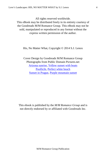All rights reserved worldwide.

This eBook may be distributed freely in its entirety courtesy of the Goodreads M/M Romance Group. This eBook may not be sold, manipulated or reproduced in any format without the express written permission of the author.

His, No Matter What, Copyright © 2014 S.J. Lenox

Cover Design by Goodreads M/M Romance Group Photographs from Public Domain Pictures.net [Arizona sunrise,](http://tinyurl.com/poaob4a) [Yellow sunset with boats](http://tinyurl.com/qxhxesn) [Poollicht,](http://tinyurl.com/qjsd3xj) [Perfect white beach](http://tinyurl.com/oa6kd8r) [Sunset in Prague,](http://tinyurl.com/qgckd6f) [Purple mountain sunset](http://tinyurl.com/bojmcrn)

This ebook is published by the *M/M Romance Group* and is not directly endorsed by or affiliated with Goodreads Inc.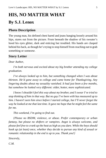### <span id="page-4-0"></span>**HIS, NO MATTER WHAT By S.J. Lenox**

### **Photo Description**

The young man, his defined chest bared and jeans hanging loosely around his hips, stares out from the picture. From beneath the shadow of his sweater's hood his eyes glitter, dark and enticing but troubled. His hands are clasped behind his back, as though he's trying to stop himself from reaching out to grab something or some*one*.

### **Story Letter**

### *Dear Author,*

*I'm both nervous and excited about my big brother attending my college graduation.*

*I've always looked up to him, but something changed when I was about thirteen. He'd gone away to college and came home for Thanksgiving. Any lingering doubts about my sexuality vanished. It had just been a few months, but somehow he looked very different: older, hotter, more sophisticated.*

*I know I shouldn't feel this way about my brother, and I swear I've tried to stop thinking of him in that way. But no guy I've been with has measured up to him. I haven't seen him since before I started college, but I'll never forget the way he looked at me that last time. It gave me hope that he might feel the same for me.*

*This weekend, I'm going to find out.*

*{Please no BSDM, violence, or abuse. Prefer contemporary or urban fantasy, but please no shifters or vampires. Angst is always welcome, and please feel free to crank up the heat as high as you dare. While the boys should hook up (at least) once, whether they decide to pursue any kind of sexual or romantic relationship in the end is up to you. Thank you!}*

*Sincerely,*

*C.M.*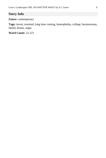### **Story Info**

**Genre:** contemporary

**Tags:** incest, reunited, long time coming, homophobia, college, businessman, family drama, angst

**Word Count:** 21,123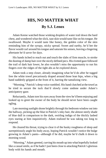### <span id="page-6-0"></span>**HIS, NO MATTER WHAT By S.J. Lenox**

Adam Keene watched those winking droplets of water trail down the hard chest, and wondered what the slick, taut skin would taste like on his tongue. He swallowed. Maybe it would taste like honey, the golden color of the skin reminding him of the syrupy, sticky spread. Sweet and earthy, he'd bet the flavor would curl around his tongue and saturate his senses, leaving a lingering aftertaste he'd savor for days.

His hands itched to reach out and touch the slabs of firm muscle, to stroke the dusting of damp hair over the nicely defined pecs. His riveted gaze followed the trail of dark hair lower, he also wouldn't miss the opportunity to run his fingers over the ridges of the tight abs as he explored down.

Adam took a step closer, already imagining what he'd do after he tugged free the white towel precariously draped around those lean hips, when a big hand suddenly gripped at the front of it, barring the tantalizing view.

"Morning," Patrick's deep voice rumbled. His hand clutched at the towel as he tried to secure the tuck that'd slowly come undone under Adam's anticipatory gaze.

Reluctantly, Adam tore his eyes away from the view he'd been enjoying and looked up to greet the owner of the body he should never have been caught ogling.

Late morning sunlight shone brightly through his bedroom window out into the hallway, picking up the blue in Patrick's inky hair, the almost steely shade of blue dull in comparison to the dark, swirling indigo of the thickly lashed eyes staring at him inquisitively. Adam realized he was taking too long to respond.

He cleared his throat, trying to clear it of the husky roughness of sleep and surreptitiously angle his body away, hoping Patrick wouldn't notice the bulge growing in Adam's pants—although if he did, maybe he'd chalk it down to morning wood.

"Morning," Adam greeted, curving his mouth up into what hopefully looked like a casual smile, as if he hadn't just been close to attacking Patrick's glorious body with his hands and mouth.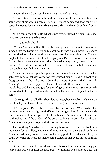"Didn't think I'd see you this morning." Patrick grinned.

Adam shifted uncomfortably with an answering little laugh as Patrick's smile went straight to his pants. The white, steam-dampened door caught his eye as he tried to look anywhere but at the nearly naked man directly in front of him.

"My sleep's been all outta whack since exams started," Adam explained. "Are you done with the bathroom?"

"Yeah, go right ahead."

"Thanks," Adam replied. He hastily took up the opportunity for escape and slipped into the bathroom, trying his best not to sneak a last peak. He sagged against the door as it clicked shut and absently rubbed at his right arm. The area tingled hotly from where it'd brushed up against Patrick's warm, damp skin in Adam's haste to leave the awkwardness in the hallway. Well, awkwardness on *his* part. After all, it was normal to make small talk with the half-naked man you catch in your hallway—wasn't it?

It was the blatant, panting perusal and hardening erection Adam had subjected him to that was cause for embarrassed panic. His dick throbbed in disagreement. As he had come to do in the stressful frenzy of the last month, Adam ignored it, and flipped the lock and pushed off the door. He peeled off his clothes and headed straight for the refuge of the shower. Steam quickly billowed out of the glass door as he turned on the water and stepped under the spray.

Adam sighed and rolled his shoulders as water, hot enough to melt away the first few layers of skin, sluiced over him, easing his tense muscles.

He'd forgotten Patrick had returned for the weekend. When Adam had returned home late last night to find Patrick waiting for him, Patrick had nearly been brained with a backpack full of textbooks. Tall and broad-shouldered, he'd melted out of the shadow of the porch, stalking toward Adam as though Adam was some juicy prey he'd like to skin and wear.

The last thing Adam had been expecting, his mind overloaded with a frantic montage of serial killers, was a pair of arms to wrap him up in a tight embrace. Adam tensed, ready to aim a swift kick to any part of his attacker's body he could get when he heard his name being called in that deep, all-too-familiar voice.

*Shocked* was too mild a word to describe his reaction. Adam froze, sagged, tensed and pushed against the hard body holding his. He stumbled back, his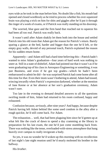eyes wide as he took in the man before him. No doubt like a fish, his mouth had opened and closed wordlessly as he tried to process whether his over-squeezed brain was playing a trick on him for shits and giggles after he'd put it through the ringer of a week of exams, or if Patrick was really standing on his doorstep.

The worried, blue gaze and the firm hand that reached out to squeeze his had been all too real. Patrick was really back.

It wasn't until after Adam shakily let them both into the house and settled Patrick into his old room that Adam got the reason for Patrick's return. Barely sparing a glance at the bed, harder and bigger than the one he'd left, or the empty gray walls, devoid of any personal touch, Patrick explained the reason for his sudden return home.

Apparently—and Adam still had a hard time believing this—Patrick hadn't wanted to miss Adam's graduation—four years of hard work was nothing to sneer at. Still in a state of disbelief, Adam had pointed out that it wasn't as if he were graduating top of his class in Aerospace Engineering or something, it was just Business, and even if he got top grades—which he hadn't been embarrassed to admit he did—he was surprised Patrick had come home after all this time for *that*. Even their mom wasn't bothering to attend, Adam had tossed, wincing inwardly when Patrick's expression darkened, whether at the mention of Jane Keene or at her absence at her son's graduation ceremony, Adam wasn't sure.

Too late in the evening to demand detailed answers to all the questions swirling inside of him, Adam had returned to his room confused, happy and exhausted.

Confusion because, *seriously*, after nine years? And happy, because despite Patrick having left Adam behind like some used condom in the alley after a rough quickie, he'd still come back. For Adam.

The exhaustion… well, that had been plaguing him since he'd gotten up at what felt like the crack of dawn to spend a day cramming at the library in preparation for his last exam, the one he'd just come stumbling back from. There was nothing like the tense, overloaded-with-stress atmosphere that hung heavily over campus to really invigorate a body.

So yes, it was no wonder he'd woken up this morning with no recollection of last night's late night reunion until he'd nearly molested his brother in the hallway.

His *brother*.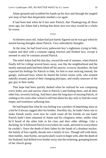Adam groaned and scrubbed his hands up his face and through the tangled wet mop of hair that desperately needed a cut again.

It had been bad when he'd last seen Patrick, that Thanksgiving all those years ago, but Adam had a feeling that these next two days would be a whole lot worse.

\*\*\*\*

At thirteen years old, Adam had just barely figured out he was gay when he started having thoughts about Patrick. Very *un*brotherly thoughts.

At the time, he had lived every pubescent boy's nightmare trying to hide, explain and deal with a constant raging erection and flushed face, except it seemed to only be constant around Patrick.

The relief Adam had felt that day, toward the end of summer, when Patrick finally left for college several hours away, was like the neighborhood and the nearby national park had been lifted off his narrow, scrawny shoulders. He had expected his feelings for Patrick to fade, for him to start noticing instead, the gangly, awkward boys whom he shared the locker rooms with, who strutted nakedly around, proud of their changing physique, and totally unaware of the gay guy in their midst.

That hope had been quickly dashed when he realized he was comparing every bulky arm and narrow chest to Patrick's and finding them, and all their other bits, severely lacking. And then came the long days of missing Patrick, of rushing to his room after school to tell him about his day only to find the room empty and loneliness suffusing him.

He had hoped that what he was feeling was a product of imprinting, since as a kid he'd always tagged after his brother. Horribly shy, he hadn't been one to make friends easily; even now he could count all his friends on one hand. Patrick hadn't been ashamed of Adam and his clinginess either, unlike what he'd heard of the other kids in his class and their older siblings. Like a duckling, he'd followed Patrick everywhere he could, and tried to everywhere he couldn't. Since the death of their father by the hands of a drunken trucker, the family of four rapidly shrunk into a family of two. Though still with them, their mother, Jane Keene, not particularly warm to begin with, after the death of her husband, had drifted even further away into the twittering, gossiping bosom of her church group.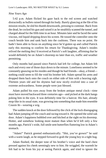#### *Nine Years Ago*

5:42 p.m. Adam flicked his gaze back to the red screen and watched distractedly as bullets rained through his body. Barely glancing at the file of his mission results, he slid his thumb downwards, pressing to continue. Back from the dead, he cocked his gun and raised it as he stealthily scanned the tunnel, and charged ahead for the fifth time in an hour. Minutes later and he faced the same viscous, red liquid dripping down his screen. He tossed the controller onto the couch beside him and sank back into the cushions. There was no point. He hadn't been able to focus on anything since he'd gotten up and called Patrick early this morning to confirm his return for Thanksgiving. Adam's insides relived the melting they'd received at Patrick's soft laughter, affirming that he would definitely be on Adam's doorstep no later than six, traffic and weather permitting.

Only months had passed since Patrick had left for college, but Adam felt each and every one of those days down to the minute. Loneliness seemed to be constantly gnawing on his insides and though he had friends—okay, *a* friend nothing could seem to fill the void his brother left. Adam spread his arms and dropped them back onto the couch on either side of him with a heaving sigh. Thirteen years old and his shyness had now nicely evolved into a case of extreme awkwardness. Some people were just blessed.

Adam pulled his eyes away from the broken antique metal clock—time must have moved backward three centuries ago—and picked at the dark bangs poking him in the eyes. It was definitely time for a haircut. His hair, already mop-like in its usual state, was growing into something that made him resemble Cousin Itt—wearing a wig.

The sudden knock at the door followed by the click of the lock disengaging had Adam jumping off the couch and racing toward it. He opened the solid oak door. Adam's happiness bubbled over and hitched at the sight on his doorstep. Hotter, and somehow looking more mature than when he'd left only a few months ago, Patrick's wide, full smile sent butterflies fluttering low in Adam's stomach.

"Adam!" Patrick greeted enthusiastically. "Shit, you've grown!" he said with a warm laugh, as he stepped forward to grab the young boy in a tight hug.

Adam flushed, the deeper tone of his brother's voice and the hard chest pressed against his cheek seemingly new to him. He wriggled, the warmth he felt had to be from his joy at seeing Patrick again, and tried to ignore the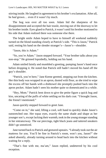stirring inside. He laughed in agreement to his brother's exclamation. After all, he *had* grown… even if it wasn't by much.

The hug was over all too soon. Adam hid the sharpness of his disappointment and accepted the hair tousle, moving out of the doorway to let his brother inside. Eyes glued to Patrick, it wasn't until his brother motioned to his side that Adam realized there was someone else there.

The bright smile Adam hoped to have to himself all weekend suddenly turned on the blond standing closely at Patrick's side. "This is Jason," Patrick said, resting his hand on the slender stranger's—Jason's—shoulder.

"Jason, this is Adam."

"So, you're Adam." Jason stepped forward. "Your brother talks about you non-stop." He grinned lopsidedly, holding out his hand.

Adam smiled faintly and mumbled a greeting, pumping Jason's hand once before dropping it. He noted that Patrick still hadn't moved his hand off the guy's shoulder.

"Patrick, you're here," Jane Keene greeted, stepping out from the kitchen. Her thin body was wrapped in an apron, dusted with flour, as she tried to wipe the excess off her hands with a dishtowel she promptly pushed back into the apron pocket. Adam hadn't seen his mother quite so domesticated in a while.

"Hey, Mom." Patrick bent down to give the petite figure a quick hug and kiss, uncaring of the puffs of white settling on his dark coat. "I brought Jason, the friend I mentioned."

Jason quickly stepped forward to greet Jane.

"Come on in," she said, lifting a cool, soft hand to quickly shake Jason's outstretched one. Her topaz eyes, exactly the same shade and shape as her younger son's, except lacking their warmth, took in the young stranger standing in her entranceway. The ear piercings, tight black jeans and tattered sneakers didn't go unnoticed.

Jane turned back to Patrick and gestured upstairs. "I already took out the air mattress for you. You'll be fine in Patrick's room, won't you, Jason?" she asked absently, already turning around to head back into the kitchen without waiting for a reply.

"That's fine with me, ma'am," Jason replied, undeterred by his cool reception.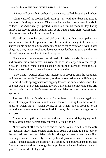"Dinner will be ready in an hour," Jane's voice called through the kitchen.

Adam watched his brother lead Jason upstairs with their bags and tried to shake off his disappointment. Of course Patrick had made new friends in college. Had Adam really expected Patrick to sit in his room all day, hating himself for leaving Adam behind, only going out to attend class. Adam didn't like the answer he had for that question.

He slid back onto the couch and picked up his console to boot up the stage again. In an effort to keep his mind off the unfamiliar twinge in his chest, he started up his game again, this time intending to reach Mission Seven. It was okay; his dark, rather cruel good looks were needed here to save the day. He *did not* keep an ear cocked to the floor upstairs.

Not a scratch on his expensive tailored suit. Adam nodded in satisfaction and crossed his arms across his wide chest as he stepped into the freight elevator. The thick metal doors closed on the scene of carnage left in the silo. There was something to be said about saving the day.

"New game?" Patrick asked with interest as he dropped onto the space next to Adam on the couch. The love seat, as always, seemed intent on living up to its name, the soft, springy cushions dipping toward the middle when more than one seat was in use. Adam slanted toward Patrick, his shoulder and bare arm resting against his brother's warm, solid one. Adam resisted the urge to rub against it.

The heat of Patrick's skin was swiftly replaced by cold air and again that sense of disappointment as Patrick leaned forward, resting his elbows on his knees to watch the TV screen avidly. Jason, Adam noted, dropped to the ground, sitting extremely close to Patrick's legs, his back resting against the arm post.

Adam started up the next mission and shifted uncomfortably, trying not to notice Jason's hand occasionally touching Patrick's ankle.

"I borrowed it off a friend." His one friend, Steven, seemed to be the only guy lacking more interpersonal skills than Adam. A zealous game player, Steven had been lending Adam his favorite games ever since their stilted bonding session over a truly perfectly timed pavement kiss—Steven, not Adam—and an assist to the infirmary. So far, they had progressed to more than five word conversations, although their topic hadn't widened further than which game Adam needed to try next.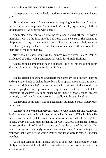Adam paused the game and held out the controller. "Do you want to have a go?"

"Boys, dinner's ready," Jane announced, stepping into the room. She eyed the screen with disapproval. "You shouldn't be playing so many of those violent games." She sniffed with distaste.

Adam placed the controller onto the table and clicked off the TV with a mumble. It wasn't the first time he had heard Jane's censure. She seemed to disapprove of many of the things Adam and Patrick did, never mind that aside from their gaming tendencies—and the occasional spats—they always tried their best to make her happy.

"How about I show you how the game's really played, later?" Patrick challenged cockily, with a conspiratorial wink, his dimple flashing.

Adam snorted, some things hadn't changed. He filed into the dining room after the older boys, a happy smile on his face.

\*\*\*\*

Adam excused himself and waddled to the bathroom full of turkey, stuffing and eight other kinds of dishes that only made an appearance during this time of year. He didn't think he'd be eating again for the rest of the month. His stomach gurgled, and apparently having decided that the overstretched waistband of Adam's straining pants would make a good second dessert, promptly sealed itself around it trying to swallow it through his skin.

Adam pulled at his pants, fighting against his stomach. Scratch that, *the rest of the year.*

Adam returned to the dining room, ready to veg out in the living room with Patrick, as was their tradition in dealing with the aftermath of Thanksgiving. He faltered as the table, set for four, came into view, and with it, the sight of Patrick's very masculine hand reaching for Jason's. Shock filled him as he tried to process the sight of Patrick's thumb stroking the back of Jason's smaller hand. The gesture, glaringly intimate and tender, had Adam reeling as he realized what it was he was seeing. Patrick and Jason were together. *Together* together.

As though sensing him, Patrick turned to look over his shoulder. Adam dimly noted how quickly Patrick's hand released Jason's to drop back to his side innocently.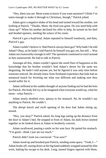"Hey, there you are. Mom wants to know if you want anymore? I think I've eaten enough to make it through to Christmas, though," Patrick joked.

Adam gave a negative shake of his head and turned toward his mother, not looking at Patrick. "Thanks, Mom, the food was great. Do you need help with clean up?" When his mother declined his offer to help, he turned on his heel and headed upstairs, needing the solace of his room.

*Patrick's got a boyfriend*, Adam repeated to himself tonelessly, and then, *Patrick's gay.*

Adam couldn't believe it. Had Patrick always been gay? Why hadn't he told Adam? Okay, so he hadn't told Patrick he himself was gay yet, but still… Was Adam not trustworthy enough to tell? The questions continued to swirl around in him unanswered. He had to talk to Patrick.

Amongst all this, Adam couldn't ignore the small flare of happiness at the knowledge that his brother wouldn't find Adam's desire for the same sex disgusting. He hadn't told anyone yet, but he figured it was only time before someone noticed. He already knew from firsthand experience that kids had an unnatural knack for ferreting out what was different and making sure they would suffer for it.

Adam stiffened at the sudden thought of anyone finding out he had the hots for Patrick. His body felt icy as he imagined what everyone would say, what his mom—what Patrick—

Adam nearly doubled over, queasy to his stomach. *No*, he wouldn't say anything to Patrick. He couldn't.

The abrupt knock and swift opening of his door had Adam sitting up, tensed.

"Hey, you okay?" Patrick asked, his long legs eating up the distance from the door to Adam's bed. He stopped in front of Adam, his dark brows knitted together as he looked down at Adam in brotherly concern.

Adam swallowed, pasting a smile on his wan face. He patted his stomach. "I'm good—think I just ate too much."

Patrick didn't look too convinced. "You sure?"

Adam stood up and brushed past Patrick, needing some space. "Yeah, I—" Adam broke off, staring down at the big hand suddenly wrapped around his thin wrist, halting his escape to his desk. Long, tanned fingers tapered with blunt,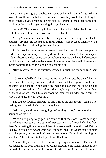square nails, the slightly roughed callouses of his palm burned into Adam's skin. He swallowed, unbidden; he wondered how they would feel stroking his body. Small shivers broke out on his skin; his breath hitched then puffed out shallowly from the images crashing through his mind.

"Adam?" The tense worry in Patrick's voice jerked Adam back from the reel of entwined limbs, bare skin and fevered hands.

"Sorry," Adam said breathlessly. His tongue darted out trying to moisten his suddenly dry lips. He looked up to find Patrick's eyes focused intently on his mouth, the black swallowing the deep indigo.

Patrick reached out to sweep an errant brown lock from Adam's temple, the pad of his finger running reverently down the side of Adam's face to his jaw. Adam's heart pounded, every part of his being focused on the trail of sensation. Patrick's warm hushed breath caressed Adam's cheek, the smell of pastry and sweet potatoes faintly brushing up against his skin.

"Hey, ready to go?" the question snapped through the room, jolting them apart.

Adam stumbled back, his calves hitting the bed. Despite the cheerfulness in his voice, the quickly concealed, dark frown and the rigidness in Jason's postures as he stood in the doorway made it clear that he knew he had interrupted something. *Something that definitely shouldn't have been happening.* Adam tensed, his gaze dropping intently on the dark green carpet as Jason's cold gaze swept over him.

The sound of Patrick clearing his throat filled the tense room. "Adam's not feeling well. He said he's going to stay here."

"All right, we'd better get going before they close," Jason said stiffly, spinning on his heel.

"We're just going to go pick up some stuff at the store. Won't be long," Patrick explained to Adam, a strained expression on his face as he looked from Jason's retreating figure back to Adam. Adam opened his mouth to ask Patrick to stay, to explain to Adam what had just happened—so Adam could explain what happened, but he couldn't get the words out. He could do nothing but watch as Patrick turned to hastily follow after Jason.

Adam collapsed onto his bed, his knees giving out as soon as Patrick left. He squeezed his eyes shut and dropped his head into his hands, unable to sort through the turbulent mass of emotions inside of him. Confusion, desire and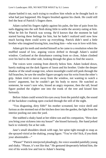shame battled it out, each trying to swallow him whole as he thought back to what had just happened. His fingers brushed against his cheek. He could still feel the heat of Patrick's fingers there.

Adam curled his fingers tightly against his palm, the bite of pain from his nails digging into the soft flesh doing little to settle the anxiety eating at him. What he felt for Patrick was wrong. He'd known that the moment he had started having these feelings for him, but he hadn't realized until now how much having them could screw up everything. Patrick didn't need a little brother who imagined kissing him, touching him—who was *in* love with him.

Adam grit his teeth and steeled himself as he came to a resolution when the muffled sound of low, arguing voices drifted in through Adam's sealed window. Confused at the disturbance coming from so close, Adam climbed over his bed to the other side, looking through the glass to find the source.

The voices were coming from directly below him. Adam looked down, barely making out the dark figures of Jason and his brother. Under the deeper shadow of the small orange tree, where moonlight could still peek through the full branches, he saw the smaller figure savagely tear his wrist from the other's grip. Adam tried to move away from the window, not wanting to watch a lovers' argument, but he couldn't get his body to move. He watched as someone, he wasn't sure who, hissed an angry response, then the tall, broad figure pushed the slighter one into the trunk of the tree and kissed him furiously.

Before Adam could wrench his eyes away from the painful sight, the sound of the backdoor crashing open cracked through the still of the night.

"You disgusting, dirty filth!" his mother screamed, her voice shrill and furious as she stormed out of the kitchen door into the garden, the light from the interior pooling out onto the yard.

She stabbed a shaky hand at her eldest son and his companion, "How dare you bring your sickness into my house!" she hissed furiously. Her hand jerked back to violently fist at her side.

Jane's small shoulders shook with rage, her spine tight enough to snap as she sprayed vitriol at the shaking, young figure. "You're vile! Sick, if you think your abominable—"

"Please!" Patrick interjected pleadingly, his voice sounded painfully young and shaky. "Please, it's not like that." He gestured desperately behind him, the rest of his words low and lost to Adam's hearing.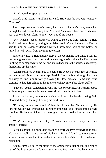"Don't you dare spout that evil—"

Patrick tried again, stumbling forward. His voice hoarse with entreaty, " $M$ om—"

The sharp crack of Jane's hand, hard across Patrick's face, wrenched through the stillness of the night air. "Get out," her voice, hard and cold as ice, sent tremors down Adam's spine. "Get out of my house."

"Mrs. Keene," Jason protested, trying to step out from behind Patrick. Patrick held out his arm, halting him. Adam couldn't catch the words Patrick said to him, but Jason rendered a worried, searching look at him before he turned to walk away from the raging woman.

His form rigid, Patrick glared coldly at the woman he had called Mom for the last eighteen years. Adam couldn't even begin to imagine what Patrick was thinking as he stepped around her and stalked back into the house, his footsteps thundering up the stairs.

Adam scrambled over his bed in a panic. He tripped over his feet as he tried to rush out of his room to intercept Patrick. He stumbled through Patrick's doorway to find him furiously shoving the few personal items and extra clothing he had left behind in his move to college into a big black duffle.

"Patrick?" Adam called tentatively, his voice wobbling. His heart throbbed with more pain than his thirteen-year-old self knew how to bear.

Patrick looked up, the violent jerking motions of his hands pausing. Pain bloomed through the rage frosting his hard eyes.

"I'm sorry, Adam. You shouldn't have had to hear that," he said stiffly. He tore his eyes away; jerking shut the zipper of the bag, and slung it onto his rigid shoulder. He bent to pick up the overnight bags next to the door as he walked out.

"You're coming back, aren't you?" Adam choked anxiously, his voice small. "Patrick?"

Patrick stopped; his shoulders drooped before Adam's overwrought gaze. He gave a small, sharp shake of his head. "Sorry, Adam." Without turning around, he was down the stairs and out the door before Adam realized what was happening.

Adam stumbled down the stairs of the ominously quiet house, and rushed out of the house onto the lawn in time to see Patrick toss the bags into the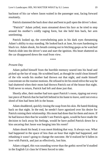backseat of his car where Jason waited in the passenger seat, facing forward resolutely.

Patrick slammed the back door shut and bent to pull open the driver's door.

"Patrick!" Adam yelled, tears streamed down his face as he tried to step around his mother's coldly raging form, but she held him back, her arm unrelenting.

Patrick looked up, the overwhelming pain in his dark eyes threatening Adam's ability to stay standing. He looked back at Jane, his eyes hardening to black ice. Adam shook, his breath coming out in hitching gasps as he watched Patrick slide into the driver's seat and start the ignition. His heart shattered as the car disappeared down the road from view.

\*\*\*\*

#### *Present Day*

Adam pulled himself from the horrible memory seared into his head and picked up the bar of soap. He scrubbed hard, as though he could clean himself of the vile words his mother had thrown out that night, and made himself concentrate on the routine motions. He refused to let his mind relive the way he had shattered when their mom had thrown Patrick out of the house that night. Told never to return, Patrick had left and done just that.

Shortly after, their mother had torn apart Patrick's room, ripping out every last piece of Patrick that he had left behind in his haste to leave, until not even a shred of him had been left in the house.

Adam shuddered, quickly rinsing the soap from his skin. He hated thinking back on that night. In the end, he needn't have agonized over his desire for Patrick ruining their relationship. His mom had done that for them and more. If he had known then that he wouldn't see Patrick again, would he have made the decision to lock away his feelings, would he have pulled Patrick down for a kiss uncaring that Jason was barging into his room?

Adam shook his head; it was moot thinking that way. It always was. What had happened in the space of less than an hour that night had happened, and rehashing it wasn't going to change the outcome. He'd realized he'd fallen in love with Patrick, and just as effectively, lost him.

Adam cringed, this was sounding worse than the gothic novel he'd studied in the English Lit class he'd been forced to take.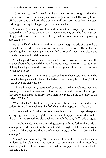Adam realized he'd stayed in the shower for too long as the dark recollections stormed his usually calm morning shower ritual. He swiftly turned off the water and dried off. The erection he'd been sporting earlier, he noted, had flagged during his happy trip down memory lane.

Adam slung the damp towel around his waist and swiped up the clothes scattered on the floor to dump in the hamper on his way out. The fragrant scent of eggs and onions assailed him as he opened the door, his stomach growling appreciatively.

He hurried back to his room and rummaged through the pile of clothes he'd dumped on the side of his desk sometime earlier that week. He pulled out something that—his accompanying verified sniff confirmed—was clean, and quickly dressed to head downstairs.

"Smells good," Adam called out as he turned toward the kitchen. He stopped short as he reached the arched entranceway. A nice, firm ass atop a set of long lean legs encased in soft black jeans greeted him. He felt his cock twitch back to life.

"Hey, you're just in time," Patrick said as he stretched up, turning around to reveal the two plates in his hand. "Had a hard time finding these, I thought they were above the dishwasher?"

"Oh, yeah. Mom, uh, rearranged some stuff," Adam explained, wincing inwardly as Patrick's now cold, sterile room flashed to mind. He stepped forward to grab a pair of glasses from their new place on the shelf next to the fridge. "Water?"

"Yeah, thanks." Patrick set the plates next to the already found, and set out, cutlery, filling them each with half of what he'd whipped up in the pan.

Adam placed the filled glasses onto the table next to each respective place setting, appreciatively eyeing the colorful bits of pepper, onion, what looked like potato, and something else peeking through the soft, fluffy pile of eggs.

"Go right ahead." Patrick grinned, gesturing with his fork to the bottle of ketchup that had been set on the table to Adam's right. "If I remember right, you don't like anything that's predominantly eggs unless it's drowned in ketchup."

Adam grinned sheepishly. "Still the same," he admitted. He wasted no time in dousing his plate with the syrupy, red condiment until it resembled something out of a horror movie. Satisfied, he swapped the bottle out for his fork and dug in.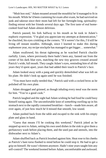"Mish hoo ood," Adam moaned around the mouthful he'd managed to fit in his mouth. While he'd been cramming for exam after exam, he had survived on junk and takeout since their mom had left for her fortnight-long, spiritualityfinding retreat with her friends several days ago. The first taste of real homecooked food had Adam almost delirious.

Patrick paused, his fork halfway to his mouth as he took in Adam's euphoric expression. "I'm glad you appreciate my attempts at domestication," he chuckled, his eyes crinkling at the corners. "If it weren't for this, I'd still be living off instant noodles. Although, since I learned to make this during sophomore year, my recipe stockpile has managed to get bigger… somewhat."

Adam swallowed, his throat tightening as he watched Patrick chuckle ruefully. Lines, where previously there hadn't been any, fanned out from the corner of his dark blue eyes, matching the new tiny grooves creased around Patrick's wide, full mouth. They caught Adam's eyes, reminding him of all the years they'd spent apart, years that had added their touch to Patrick's face.

Adam looked away with a pang and quickly demolished what was left on his plate. He didn't look up again until he was finished.

"You must have really needed that," Patrick said with a cocked brow as he polished off his own plate.

Adam shrugged and grinned, as though inhaling every meal was the norm for him. "You're a good cook."

Patrick laughed and the sight had Adam wishing he had food he could busy himself eating again. The uncomfortable knot of *something* swelling up in his stomach next to the rapidly consumed breakfast—lunch—made him aware, all over again, of just how much he'd missed that smooth, low sound.

Adam pushed back from the table and escaped to the sink with his empty plate and glass in hand.

"Guess that means I'll be cooking this weekend," Patrick joked as he stepped up next to Adam, setting his own used dishes in the sink to give them a perfunctory wash before placing them, and the used pan and utensils, into the dishwasher next to Adam's.

Adam shuffled back as Patrick brushed against him. Heat rose to his cheeks as Patrick's bare torso flashed to mind before he could stop it. He had to get a grip on himself. He wasn't thirteen anymore. Hadn't nine years taught him any self-control? The weekend loomed before Adam, uncomfortable and awkward.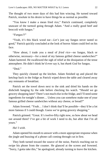The thought of two more days of this had him wincing. He turned toward Patrick, resolute in his desire to have things be as normal as possible.

"You know I make a mean fried rice," Patrick continued, completely unaware of the turmoil going through Adam. "And a really good beef and broccoli with fungus."

### "*Fungus?!*"

"Yeah, it's this black wood ear—*Let's* just say fungus never tasted so good," Patrick quickly concluded at the look of horror Adam could feel on his face.

"How about, I trade you a meal of *fried rice*—no fungus, black or otherwise, necessary—for a meal of my famous grilled cheese sandwiches?" Adam bartered. He swallowed the sigh of relief at the dissipation of the tense atmosphere. He didn't think he'd ever say it, but *thank God* for fungus.

#### "Deal"

They quickly cleaned up the kitchen. Adam finished up and placed the ketchup back in the fridge as Patrick wiped down the table and cleared away any remnants of breakfast.

Patrick set the towel down next to the sink and dried his hands on the dishcloth hanging by the side before checking his watch. "Should we go grocery shopping later? There's not much else in the fridge, and I'll need some ingredients for tonight's dinner… Unless you can somehow make one of your famous grilled cheese sandwiches without any cheese, or bread?"

Adam frowned. "Yeah… I don't think that'll be possible—they'd be a lot more famous if I could though. Guess we're going grocery shopping."

Patrick grinned. "Great. It's twelve-fifty right now, so how about we head out around three? I've got a bit of work I need to do, but after that I'm all yours."

### *Ha! I wish.*

Adam opened his mouth to answer with a more appropriate response when the jingle and buzzing of a phone call coming through cut in first.

They both turned toward the source of the noise, Patrick reaching out to swipe his phone from the counter. He glanced at the screen and frowned. "Sorry, I gotta take this," he apologized, already turning to leave the kitchen.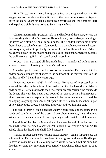"Hey, Tim…" Adam heard him greet as Patrick disappeared upstairs. He sagged against the sink as the soft nick of the door being closed whispered down the stairs. Adam rubbed his chest in an effort to dispel the tightness there and expelled a sigh. *It was going to be a long weekend.*

\*\*\*\*

Adam turned from his position, half in and half out of the closet, toward the door, sensing his brother's presence. He swallowed, instinctively clenching at the items of clothing he held in both hands. If he hadn't known his brother didn't have a streak of vanity, Adam would have thought Patrick leaned against his doorjamb *just so* to perfectly showcase his tall well-built frame. Adam's eyes zeroed in on the sharp, defined muscles outlined on the arm resting against the wall, wondering if Patrick could bench-press him.

"Wow, it hasn't changed all that much, has it?" Patrick said with no small amount of wonder, looking into Adam's bedroom.

Adam had yet to move from his position as he watched Patrick step into his bedroom and compare the changes to the bedroom of the thirteen-year-old kid brother he'd left behind nine years ago.

"Macro-economics, huh?" Patrick noted. He appeared impressed as he scanned the titles on the spines of the textbooks piled haphazardly on Adam's bedside table. Patrick sank onto the bed, seemingly categorizing the changes to the décor. The walls had never been covered in various posters, but in place of video games strewn haphazardly around the room were various articles belonging to a young man. Among the pairs of worn, tattered shoes shone a pair of new shiny dress shoes, a standard interview and job-hunting pair.

The sight of Patrick on his bed had Adam finally releasing the items in his hands and stumbling out of the closet. "Sorry about the mess," he said, toeing aside a pair of pants he was still contemplating whether to take with him or not.

The sight of the black suitcase hidden between the end of the bed and the desk in the corner seemed to have caught Patrick's eye. "You're packing?" He asked, tilting his head at the half-filled suitcase.

"Yeah, I'm supposed to be leaving next Saturday." Adam flipped close the suitcase lid so Patrick wouldn't see how little progress he'd made. He'd hoped to have at least a little of his clothing sorted while he waited, but his mind had decided to spend the time more productively elsewhere. Three guesses as to where.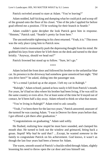Patrick swiveled around to stare at Adam. "You're leaving?"

Adam nodded, half-kicking and dumping what he could pick and scoop off of the ground onto the floor of his closet. "One of the jobs I applied for before grad offered me a position. I'll be working for their branch in Seattle."

Adam couldn't quite decipher the look Patrick gave him in response. "Hmmm," Patrick said. "Seattle's pretty far from here."

The uncomfortable tightening in his chest returned. "Yeah, it is." This town was the only place tying him to Patrick now.

Adam tried to momentarily push the depressing thought from his mind. He grabbed his keys from where he'd left them on the desk and turned to the door briskly. "Anyway, should we head out?"

Patrick frowned but stood up to follow. "Sure, let's go."

\*\*\*\*

Adam locked the front door and followed his brother to the unfamiliar blue car. Its presence in the driveway had somehow gone unnoticed last night. "Did you drive here?" he asked, sliding into the passenger seat.

"It's a rental I picked up at the airport. I left my car in Raleigh."

"Raleigh," Adam echoed, pained at how easily it fell from Patrick's mouth. For years, he'd had no idea where his brother had been living, if he was still in the same country or even alive. For at least some of the time he'd stayed out of contact, he'd been half a day away. Adam refused to think on what that meant.

"You're living in Raleigh?" Adam tried to ask casually.

"Yeah, I've been there for the last two years," Patrick answered; unaware of the turmoil he was causing Adam. "I was in Denver for three years before that. I got offered a job there after graduation."

"Congratulations on graduating," Adam said softly.

He flushed, realizing how stupid he must have sounded, and clamped his mouth shut. He turned to look out the window and grimaced, biting back a groan. *Stupid! Why had he said that?* …Except, he wanted *someone* in the family to congratulate Patrick on his achievement. God knows, it wasn't as though the last four years had been a breeze for Adam.

The warm, smooth sound of Patrick's chuckle rolled through Adam, slightly lessening his need to throw open the car door and toss himself out.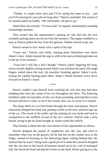"Thanks. A couple more days and I'll be saying the same to you… and you'll be leaving for your job not long after," Patrick reminded. The corner of his mouth pulled up fondly. "My kid brother, all grown up."

Adam blew out a breath. "I'm not a kid," he argued, unfortunately sounding frustratingly petulant.

They turned into the supermarket's parking lot and slid into the first available parking space not too far from the entrance. The engine rumbled to a stop as Patrick pulled the key from the ignition. Neither moved to get out.

Patrick turned to face Adam with a quirk of his lips.

"Guess not," Patrick said softly, running those fathomless eyes down Adam's form. Adam resisted the urge to shift in his seat as fluttering broke out in the pit of his stomach.

"Your hair's still like a kid's though," Patrick joked, fingering the long, messy strands slightly curling around Adam's ear and down his neck. His rough fingers trailed down the lock, his knuckles brushing against Adam's neck, teasing the rapidly beating pulse there. Adam's breath hitched, every nerve focused on Patrick's touch.

\*\*\*\*

Patrick couldn't stop himself from touching the soft skin that had been tempting him from the corner of his eye throughout the drive. The fluttering heartbeat under his knuckles set his own heart pounding, enticing him to lean forward and have a taste, to see if the creamy skin was as sweet as it looked.

The sharp shrill of a car horn broke through the tense anticipation. Patrick reluctantly dropped his hand and, pasting a smile on his face, turned to get out of the car. The sound of the traffic and the parking lot was harsh and loud in comparison to the muffled cocoon of the car's interior. Patrick took a deep breath, trying to get his head straight as Adam exited the vehicle.

They briskly walked into the cool interior of the supermarket in silence.

Patrick dropped the packet of raspberries into the cart, and tried to remember what was on the grocery list he had left on the counter next to the fridge, instead of focusing on the distracting figure trailing behind him. He realized that he wasn't doing such a good job of it when the carton he dropped into the cart next to the bunch of bananas turned out to be a tub of packaged tofu. He shook his head and placed it back on the shelf, before giving in to the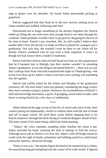urge to glance over his shoulder. He found Adam distractedly picking at grapefruit.

Patrick suggested that they head on to the next section, turning away as Adam startled and nodded, following after him.

Determined not to forget something on his already forgotten list, Patrick ended up filling the cart with more than enough food to see them through the weekend. Adam probably wouldn't have to go grocery shopping for the rest of his time at home. Patrick's jaw clenched. *Shit*, he still couldn't believe their mother didn't have the decency to make an effort to attend her youngest son's graduation. Not only that, she wouldn't even be there to see Adam off for Seattle. Patrick wondered why he was even a little surprised. It wasn't as though she had always been a model of maternity.

Patrick had been furious when he had found out from an old acquaintance that he'd bumped into in Raleigh, that their mother wouldn't be attending Adam's graduation. It was one thing to not attend Patrick's—there was no way they could go back from what had transpired that night on Thanksgiving—but to not even show up for Adam's when it was four years coming, was something else all together.

Patrick had swiftly asked for the Friday and Monday of the graduation ceremony off. His boss hadn't been too pleased, considering the huge project they were currently trying to acquire. However, the invaluableness of Patrick's skill and knowledge had meant, a quick, if grudging, assent when it really came down to losing Patrick for a few days or indefinitely.

\*\*\*\*

Adam balanced the eggs on top of the box of cereal and snack foods, their corners jutting out haphazardly, careful to cushion them with the loaf of bread and roll of paper towels. He eyed them warily before stepping back to let Patrick maneuver through the thick throng of weekend shoppers ahead of him. The faint sound of his name being called had Adam pausing.

"Adam," the voice repeated, sounding rather familiar the closer it got. Adam swiveled his head, scanning the aisle in attempt to find the source. Although not as tall as Patrick's six foot one, Adam's still tall height meant he could catch the sight of heads, unfamiliar and bobbing, parted as a dark head, somewhat familiar, advanced through.

"Knew it was you," the slender figure declared as he sauntered up to Adam, his usual disarming grin dangling from the corner of his wide mouth. It figured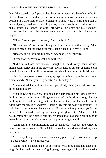that if the crowd's swift parting had been for anyone, it'd have had to be for Oliver. Trust him to induce a reaction in even the most mundane of places. Dressed in a dark leather jacket opened to a tight white T-shirt and a pair of mustard jeans, fitted in all the right places, Oliver knew how to make the most of his assets. He topped the outfit off with a thin scarf and his trademark scuffed combat boots, the chunky heels adding an extra inch to his shorter height.

"Oliver," Adam greeted warmly. "You're back."

"Holland wasn't as fun as I thought it'd be," he said with a shrug. Adam took it to mean that the guys over there hadn't been to Oliver's liking.

"Because it's a lot more fun here?" Adam asked skeptically.

Oliver snorted. "You've got a point there."

"I did miss those brown eyes, though," he said softly, faint sadness momentarily reflecting in his gray eyes. It was gone as quickly as it had come though, his usual joking flirtatiousness quickly sliding back into full-force.

He slid up closer, those slate gray eyes running appreciatively down Adam's body. "I hear you're graduating on Monday."

Adam nodded, leery of the Cheshire grin slowly slicing across Oliver's air of innocent inquiry.

"You know," he drawled, looking up at Adam through his lashes coyly. "I think a present is in order." He gave a nod of his head, as though he was thinking it over and deciding that that had to be the case. He reached up to fiddle with the sleeve of Adam's T-shirt. "Presents are *really* important." His dark head gave another decisive nod. "Especially *big* presents you'd get dirty―" he paused, flicking a meaningful glance to Adam's crotch. "…unwrapping," he finished huskily, his innuendo loud and clear enough to leave the aisle in no doubt as to what the present might entail.

Adam couldn't help himself, he full out laughed. It was just like Oliver to unashamedly churn out horribly clichéd innuendos, regardless of the time, place or location.

"Seriously though, how about a drink at my place tonight? We can catch up, it's been a while… I've missed you."

Adam shook his head, his eyes softening. What they'd had had ended not long after it started, and he wasn't going to go there again. "Sorry, I'm busy this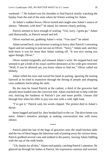weekend—" He looked over his shoulder to find Patrick stonily watching the byplay from the end of the aisle where he'd been waiting for Adam.

At Adam's sudden frown, Oliver turned and caught onto Adam's source of silence. "Mmmm, with him?" he asked, his interest clearly perking.

Patrick seemed to have enough of waiting. "Um, sorry. I gotta go," Adam said distractedly, as Patrick turned and left.

Oliver reached out, grabbing Adam's wrist. "You sure?" he asked.

Adam turned back, torn between wanting to hurry after Patrick's retreating figure and not wanting to just run out on Oliver. "Sorry," Adam said, and they both knew it was for more than Adam rushing off. "It was nice seeing you again though, Oliver."

Oliver smiled resignedly and released Adam's wrist. He stepped back and seemed to get a hold of his usual carefree demeanor as his wide grin returned. "Well, if you're allowed out, you know where to find me," Oliver called out blithely.

Adam rolled his eyes and waved his hand in parting, ignoring the teasing farewell as he tried to maneuver through the throng of people and shopping carts suddenly barricading the aisle.

By the time he found Patrick at the cashier, a third of the groceries had already been loaded onto the conveyor belt. Adam reached out to help with the rest, noticing the hardness of Patrick's jaw and tense profile. Unease slid through him when his offer to pay was met with a cold, tight look.

"I've got it," Patrick said, his words clipped. The protest died in Adam's throat.

Items bagged and paid for, they headed back to the car. The drive home was tense, Adam's tentative attempts at making conversation met with stony silence.

\*\*\*\*

Patrick piled the last of the bags of groceries onto the small kitchen table and the two of them began the laborious task of putting away the various items. Patrick grabbed several cans and stalked to the pantry, leaving Adam fiddling with the top of the milk bottle.

"Uh, thanks for all this," Adam said quietly, catching Patrick's attention. He glanced up through his lashes at Patrick, his expression cautious and worried.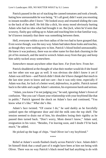Patrick paused in the act of stacking the canned tomatoes and took a breath, hating how unreasonable he was being. "It's all good, didn't want you resorting to instant noodles after I leave." He looked away and resumed sliding the cans to the back of the shelf. He felt like a dick, his stony mood obviously hurting Adam who had no idea what had brought it on. But *fuck*, when he'd seen that scrawny, flashy guy sidling up to Adam and touching him in that familiar way, he'd known instantly that there was something between them.

Hell, everyone within a ten-foot radius of the two had to have grasped that. Even worse though, was the easy way Adam had taken those looks and touches, as though they were nothing new to him. Patrick's blood boiled unreasonably. He knew it was jealousy, there was no other name for that dark churning in the pit of his stomach, and the need to wrench Adam away from that guy and keep him safely tucked away somewhere.

*Somewhere* meant anywhere other than here. *Far from here.* From *her.*

Patrick shuddered at the thought of what their mother would do if she found out her other son was gay as well. It was obvious she didn't know it yet if Adam was still here—and Patrick didn't think she'd have changed *that* much in the last nine years to know and not care—but it was only time, especially if Adam was that, for lack of a better word, *defenseless*, in public. Patrick turned back to the table and caught Adam's attention, his expression harsh and serious.

"Adam, you know I'm not judging you," he said, ignoring Adam's frown of confusion. "But you can't flaunt your relationship with your boyfriend like that in public." Patrick ignored the shock on Adam's face and continued, "You know what it's like." *What* she's *like.*

Adam's face twisted. "Of course I do," he said darkly as he forcefully yanked open the refrigerator door and slid the milk onto the top shelf. The tension seemed to drain out of him, his shoulders losing their rigidity as he paused then turned back. "Don't worry, Mom doesn't know," Adam said, resignation in his voice. "Besides, I'm leaving soon, and I doubt I'll be back much," he added.

He picked up the bags of chips. "And Oliver isn't my boyfriend."

\*\*\*\*

Relief at Adam's words flashed clearly across Patrick's face. Adam didn't let himself think that a small part of it might have been at him not being with Oliver. There was no way Patrick's black mood had had anything to do with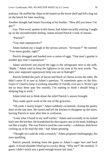jealousy. He stuffed the chips in the basket on the lower shelf and left a bag out on the bench for later snacking.

Another thought had Adam frowning at his brother. "How did you know I'm gay?"

*Gay.* That word, spoken in this house, had Adam inwardly wincing. Caught up on the uncomfortable feeling, Adam missed Patrick's look of unease.

"Patrick?"

"Gay-man superpowers?"

Adam barked out a laugh at the serious answer. "*Seriously?*" He snorted. "You mean gaydar, right?"

Patrick shrugged and handed over a carton of eggs. "One man's gaydar is another gay man's superpower."

Adam snickered and placed the eggs in the refrigerator next to the milk. "*Right."* Adam tried to keep the lightness in his tone at his next words. "So, does your supposed superpower help you out in Raleigh?"

Patrick fielded the pack of bacon and block of cheese across the table. He didn't seem ill at ease at Adam's question. "It sometimes goes on the fritz. Guess it's hard to keep it working smoothly if I hardly ever use it. Work's got me so busy these past few months, I'm starting to think I should bring a sleeping bag to work."

Adam tried not to think about the relief Patrick's answer brought.

They made quick work of the rest of the groceries.

"Oh yeah, I nearly forgot," Adam suddenly exclaimed, closing the pantry door on the last item. He turned and left the kitchen to disappear up the stairs, leaving Patrick to stare after him in confusion.

"Look what I found in my stuff earlier," Adam said excitedly as he rushed back into the kitchen. He brandished the thin square case in his hand, holding it out like a trophy. The way Patrick eyed the case warily—a dubious, dark brow cocking up as he read the title—had Adam grinning.

"Thought we could do with a rematch," Adam proposed challengingly, his eyes sparkling.

Patrick paused, looking from the game to Adam's eager face and back again. A broad shoulder lifted up in a cocky shrug. "Why not?" He smirked. "I guess I didn't teach you a good enough lesson last time."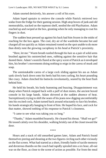Adam snorted derisively, his answer a roll of his eyes.

Adam loped upstairs to retrieve the console while Patrick retrieved two sodas from the fridge for their gaming session. High atop boxes of junk and old memorabilia, stacked on the topmost shelf, nestled the old PlayStation. Adam reached up and swiped at the box, grunting when he only managing to coat his fingers in dust.

The sudden heat pressed up against his back had him frozen in the midst of reaching for the box again. The cool, dry air of the wardrobe became hot and charged all too quickly as Adam remained rooted on the spot unable to do more than dimly note the growing cacophony in his head at Patrick's proximity.

"Here, let me." Warm breath rustled through his hair as a pair of solid arms brushed against his outstretched ones, rubbing against the sensitive hair that dusted there. Adam's nostrils flared at the spicy scent of Patrick as it enveloped him, his brother's movements doing nothing to reign in the caress of musk and soap.

The unmistakable caress of a large cock sliding against his ass as Adam sank slowly back down onto his heels had his toes curling, his heart pounding like crazy. Adam clenched his buttocks involuntarily, seared by the heat flush behind him.

He held his breath, his body humming and buzzing. Disappointment was sharp when Patrick stepped back with a puff of dust motes, the ancient boxed console in his large hands. Adam shivered at the sudden absence of heat. Surreptitiously trying to shift the seam of his jeans now digging uncomfortably into his excited cock, Adam turned back around reluctantly to face his brother, his hands strategically hanging in front of him. He hoped his face, and cock for that matter, showed nothing of his response to Patrick's closeness.

"I came to see what was taking you so long."

"Thanks," Adam mumbled hoarsely. He cleared his throat. "Shall we go?" He tossed calmly over his shoulder, walking briskly out of the closet toward the door.

\*\*\*\*

Hours and a stack of old unearthed games later, Adam and Patrick found themselves jeering and shouting at the two figures circling each other viciously on the flat screen. What had started as a short, friendly battle of tactile memory and dexterous thumbs on the couch had rapidly spiraled into a six hour, all-out war on the floor, as close to the scene of action as possible. Far from the meal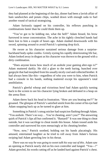they had planned at the beginning of the day, dinner had been a lavish affair of ham sandwiches and potato chips, washed down with enough soda to fuel another round of tactical strategizing.

Adam furiously tapped on his controller, his reflexes punching in combinations faster than he could think them up.

"You've got to be kidding me, what the hell!" Adam hissed, his brow furrowed in tense concentration. The ache in his tightly clenched hands had been lost to him a couple of hours ago. Adam slashed downwards with his sword, spinning around to avoid Patrick's spinning drop kick.

He swore as his character sustained serious damage from a surprisebackhand body-spike combo. Grimly eyeing his rapidly deteriorating life bar, Adam looked away in disgust as his character was thrown to the ground with a dirty combination.

"Does anyone know how much of an asshole your gaming alter-ego is?" Adam muttered darkly. He slid a glare to the teeth baring, hunched over gargoyle that had morphed from his usually nicely cool and collected brother. It had always been like this—regardless of who you were to him, when Patrick had a console in his hands, nothing mattered except his opponent's total annihilation.

Patrick's gleeful whoop and victorious howl had Adam quickly turning back to the screen to see his character lying broken and defeated in a heap on the arena floor.

Adam threw back his head in frustration. "How are you beating me?!" he groaned. The glimpse of Patrick's satisfied smirk from the corner of his eye had Adam snapping back up as he turned to glare at him.

Something in Patrick's smug snicker had suspicion flashing through Adam. "You asshole. There's no way… You're cheating, aren't you?" The answering quirk of Patrick's lips all but confirmed it. "Bastard!" It was one thing to cheat outside, but it was sacrilege to cheat inside this house. Adam tossed aside his controller and narrowed his eyes menacingly at his cheating brother.

"Now, now," Patrick soothed, holding out his hands placatingly. His amused, entertained laughter as he tried to roll away from Adam's furious swiping had Adam growling low in his throat.

*There was no way he was going to sweet talk his way out of this*. Adam saw an opening as Patrick nearly slid on his own controller and lunged. "You—!" Adam growled, his words cutting off as he landed hard against Patrick's chest.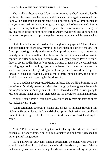The hard heartbeat against Adam's faintly smarting cheek pounded loudly in his ear, his own ricocheting as Patrick's scent once again enveloped him tightly. The hard thigh under his hand flexed, shifting slightly. Time seemed to slow, every nerve in Adam humming, strung tight, as he slowly moved his eyes upwards. The top button of Patrick's plaid shirt was undone, revealing the beating pulse at the bottom of his throat. Adam swallowed and continued his progress; not pausing to nip at the pulse, no matter how much his teeth ached to.

Dark stubble that would no doubt be rough rubbing against Adam's tender skin peppered his sharp jaw, framing the hard slash of Patrick's mouth. The firm lips, parting slightly under Adam's trapped, hungry gaze, compressed quickly back into a tense line. Unable to stop himself, Adam leaned forward to capture the fuller bottom lip between his teeth, tugging gently. Patrick's quick draw of breath had his lips softening and parting. Urged on by the warm breath brushing against his tingling lips, Adam leaned in, connecting against the warm, soft mouth. He sighed against it and pushed forward, seeking. His tongue flicked out, swiping against the slightly parted seam, the hint of Patrick's taste already causing his head to spin.

All of a sudden, the suppressed desire unfurled like wildfire, burning up the last of Adam's faintly protesting principles. Hungrily, he sought out the mouth, his tongue demanding and persistent. When it looked like Patrick was going to respond, strong hands suddenly clamped onto his shoulders, yanking him back.

"Sorry, Adam," Patrick said quietly, his voice shaky from his heaving chest. He looked away. "I can't."

Adam scrambled backward, shame and disgust at himself flooding him violently. He stumbled to his feet and dashed upstairs before Patrick could look back at him in disgust. He closed his door to the sound of Patrick calling his name.

\*\*\*\*

"Shit!" Patrick swore, hurling the controller by his side at the couch furiously. The anger drained out of him as quickly as it had come, replaced by bitter, painful resignation.

He had always loved Adam. It hadn't been hard; the quiet, wide-eyed boy who'd trailed after him had always made it ridiculously easy to do so. Maybe that was why, without him noticing, it had evolved into something deeper and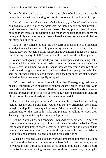far from familial, until that day he hadn't been able to look at Adam's sweetly inquisitive face without wanting to kiss him, to touch him and burn him up.

*It would have been almost bearable*, he thought, *if he hadn't realized Adam had begun to look at him in the same way*. At first, it hadn't seemed possible, he'd disregarded the long looks and hasty glances, putting them down to nothing more than sibling adoration, but the more he tried to ignore them the more painfully aware he became. So much so that those last few months before his move had been hell.

He'd left for college, hoping the new surroundings and hectic timetable would put to rest the anxious feelings churning inside him, but he found himself looking forward to Adam's calls, squirreling away amusing things he'd seen or heard during the days to tell Adam, just so he could hear the soft laughter.

When Thanksgiving was just days away, Patrick panicked, realizing that if he returned home, with him and Adam alone in their respective bedrooms upstairs, even if his mom was in the house, he'd do something he'd regret. So he'd invited the guy whom he'd drunkenly kissed at a party, and who had somehow turned out to be a good friend. Jason had been surprised at the sudden invitation, but nonetheless happily accepted it.

He'd known taking Jason home with him that Thanksgiving had been a mistake, especially when he'd arrived home to Adam's eager, joyous face. With that wide smile, framed by the two flashing dimples and big, liquid-brown eyes shining through the mop of coffee-colored hair, Adam had been totally unaware of the turmoil he was already stirring up again in Patrick.

The breath had caught in Patrick's throat, and he realized with a sinking feeling that the guy behind him wouldn't make any difference. He'd tried though; he'd pulled away quickly from Adam when they got too close, concentrated on the man as his side, and planned on talking to Jason after Thanksgiving about taking their relationship further.

But then *that moment* had happened, up in Adam's bedroom. He'd been so close to screwing everything up, ruining it all, when Jason had walked in. There was no doubt he'd known exactly what he'd interrupted and so Patrick had no other choice than to go after Jason, even though turning his back on Adam's wide-eyed and confused, pained look had been excruciating.

When he'd reached Jason out in the yard, no amount of desperate explaining could have shielded him from the truth in Jason's horrid accusations, slicing icily through him. Furious at himself, at his actions and Jason's words, before he realized it, he was pushing Jason up against the old orange tree, claiming his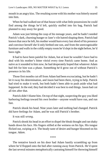mouth in an angry kiss. The resulting scene with his mother was bitterly seared into him.

When he had walked out of that house with what little possessions he could find among the things he'd left, quickly stuffed into his bag, Patrick had planned to stay away for good.

Adam was just hitting the cusp of his teenage years, and he hadn't needed Patrick's dark, churning hunger or Jane's vile hatred shaping them. Patrick had known that once he left, his mother would burn every last shred of his presence and convince herself she'd only birthed one son, and from the unrecognizable furniture and walls in the coldly empty room he'd slept in the night before, he'd been right.

It had to have been painful for Adam, but at least he wouldn't have had to deal with his mother's bitter vitriol every time Patrick came home. And as naïve as it sounded to him now, he had desperately hoped that whatever Adam had felt for him was a phase. Something he'd grow out of without Patrick's presence in his life.

Those first months cut off from Adam had been excruciating, but he hadn't let it sway his determination, and Jason had been there, trying to help. Patrick had tried to make it work, but both hadn't been able to push aside what had happened. In the end, they had decided it was best to end things. Jason had cut all ties after that.

Patrick didn't blame him. On top of that night, suspecting the guy you liked harboring feelings toward his own brother—anyone would have run, and run fast.

Patrick shook his head. Nine years later and nothing had changed. Patrick did have feelings for Adam, and he was still Patrick's brother.

It was still *wrong*.

Patrick shook his head in an effort to dispel the bleak thought and ran shaky hands down his face. His fingers stilled at the wetness on his lips. His tongue flicked out, swiping at it. The heady taste of desire and hunger bloomed on his tongue. *Adam*.

\*\*\*\*

The tentative knock on his door had Adam hastily scrambling up from where he'd flopped onto the bed after running away from Patrick. He'd spent the last several minutes metaphorically castrating himself for throwing himself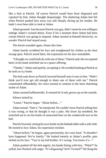like a fool at Patrick. *Of course Patrick would have been disgusted and repulsed by him*, Adam thought despairingly. The shattering Adam had felt when Patrick pushed him away was still sharply slicing up his insides. He hadn't even been able to *look* at Adam.

Adam groaned. Just because Patrick was gay, didn't mean he was willing to indulge Adam's twisted desire. Even if for a moment there Adam had been certain Patrick was going to respond. Adam snorted at himself derisively, *no wonder Patrick had stayed away*.

The knock sounded again, firmer this time.

Adam hastily scrubbed his face and straightened his clothes as the door swung open. Patrick stood there, the expression on his face unreadable.

"I thought we could both do with one of these," Patrick said, the two opened beers in his hand stretched out in a peace offering.

"Thanks," Adam said quietly, accepting it. He avoided looking at Patrick as he took an icy bottle.

The bed sunk down as Patrick lowered himself onto it next to him. "Didn't think you'd ever get old enough to share one of these with me," Patrick commented offhandedly, his voice normal in contrast to the mess slamming inside of Adam.

Adam snorted halfheartedly. It seemed he'd only grown up on the outside.

Silence ticked by.

"Listen," Patrick began. "About before…"

Adam tensed. "Don't," he interjected. He couldn't have Patrick telling him it was wrong, or that he thought it was a joke. His lower lip trembled**.** He stretched out to set the bottle of untouched beer on the windowsill next to his bed.

Patrick frowned, setting his own bottle on the bedside table with a soft *clink*. He turned to face Adam, his expression resolute.

"About before," he began, again persistently, his voice hard. "It shouldn't have happened. We're family." He looked intently at Adam's profile, pain etched on his face. "You're my kid brother. It's wrong. You know it's—"

Adam pushed off the bed angrily, his hands fisting with fury. "What?" he yelled, face flushed with anger, "It's *disgusting*? *Sick? Twisted?*" He flung the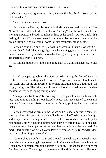harsh adjectives out; ignoring that way Patrick flinched back. "So what? So fucking what!"

### *It wasn't like he wanted this!*

He rounded on Patrick, his usually liquid-brown eyes coldly snapping fire. "I don't care if it's sick, if it's so fucking wrong!" He threw his hands out, shoving at Patrick's broad shoulders as hard as he could. "Do you think I *like* feeling this way?" His chest heaved from the violent outpour of emotion, his eyes glittering. "Do you think I *want* to want my brother to *fuck me*?"

Patrick's continued silence—*he wasn't so keen on talking* now *was he* only further fueled Adam's rage. Ignoring the warning glittering dangerously in Patrick's narrowed eyes, Adam shoved at him again, enjoying the dark sense of satisfaction at Patrick's grunt.

He felt his mouth twist into something akin to a grin and sneered. "*Fuck*. *You*."

\*\*\*\*

Patrick snapped, grabbing the sides of Adam's angrily flushed face, he crashed his mouth hard against his brother's. Anger and resentment for himself, for Adam, and for the unfairness of the whole situation poured out through the rough, biting kiss. The faint metallic tang of blood only heightened the dark cocktail of emotions raging through them.

Adam pushed back roughly, bruising his lips against Patrick's, his mouth, teeth and tongue battling it out fiercely. Need and rage seemed to consume them as Adam's hands twisted into Patrick's hair, yanking hard on the dark locks.

Patrick wrenched an arm around Adam and crushed him flush against his chest, yanking him onto his lap. He pulled his mouth off Adam's swollen lips, and scraped his teeth along the side of the flushed jaw to where the frantic pulse hammered rapidly, pounding in time with Patrick's throbbing, straining cock. Unable to resist, he nipped at the pulse with enough force to leave a mark, *his*  mark. Dark satisfaction curled low in Patrick's stomach as he fingered the dark red bruise blooming on the soft skin.

Adam arched up with a moan and ground his cock against Patrick's own painful erection, showing his approval. It didn't appear to be enough though as Adam began impatiently tugging at Patrick's shirt. He managed to rip open the first few buttons. They pinged off the near wall and furniture, and rolled onto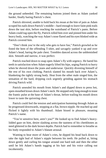the ground unheeded. The remaining buttons joined them as Adam yanked harder, finally baring Patrick's chest.

Patrick shivered, unable to hold back his moan at the bite of pain as Adam scraped his nails down Patrick's middle—hard enough to leave faint pink trails down the taut skin, before reaching the waistband of Patrick's pants. Before Adam could tug open the fly, Patrick rolled him over and pinned him under his heavy body, watching the way Adam's nose flared and his eyes blinked wide as Patrick covered him.

"Don't think you're the only who gets to have fun," Patrick growled as he fisted the hem of the offending T-shirt, and savagely yanked it up and over Adam's head, baring the pale chest. Trembles danced across the unblemished skin. Smooth and narrow, it was perfect.

Patrick reached down to snap open Adam's fly with urgency. He bared his teeth in satisfaction when Adam eagerly lifted his hips, urging Patrick to hurry when he shoved down the jeans and underwear. Quickly divesting himself of the rest of his own clothing, Patrick slanted his mouth back over Adam's, blanketing the tightly strung body. Heat from the other male singed him, the sensation of the hard, dripping cock urgently grinding against his stomach driving Patrick wild.

Patrick unsealed his mouth from Adam's and dipped down to press hot, open-mouthed kisses down Adam's neck. He stopped only long enough to tease the frantic pulse at the base of Adam's throat, before trailing his mouth down lower to taste the quivering chest.

Patrick could feel the tension and anticipation humming through Adam as he progressed downwards, stopping at a flat, brown nipple. He reached up and flicked it lightly with his thumbnail. Adam hissed in pleasure, moaning Patrick's name.

"You're sensitive here, aren't you?" He looked up to find Adam's heavylidded gaze on him, desire slashing across the tautness of his cheekbones as need glittered in the dark brown depths. Patrick had to remember to breathe as his body responded to Adam's blatant arousal.

Wanting to hear more of Adam's cries, he dipped his head back down to take the tight bud of Adam's nipple between his teeth. He pulled at, biting down gently and curling his tongue around one hard nub and then the other until he felt Adam's hands tugging at his hair and his voice calling out incoherently.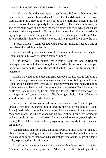Patrick gave the reddened nipple a gentle kiss before withdrawing. He braced himself on one elbow and reached his other hand down toward the crisp hairs tickling him, zeroing in on the source of the hard heat digging into his stomach. When the wet tip hotly kissed the palm of Patrick's rough hand, he angled his hand down and gripped the shaft tightly. The cock in his hand pulsed as he stroked and squeezed it. He settled into a slow, hard rhythm as Adam's hips pumped demandingly against him. He wrung a strangled cry from Adam as he swirled his thumb over the sticky tip and he pressed down onto the slit.

"Please, Patrick," Adam begged with a sob, his knuckles flushed white as they fisted the bedding under him.

Patrick pushed up and leant forward to press a hard, fevered kiss against Adam's mouth, his own breathing harsh. "Lube?"

"T-top drawer," Adam panted. When Patrick took too long to find the inconspicuous bottle hidden among the junk, Adam leaned over and dumped the entire drawer on the floor. The small blue bottle rolled out from beneath a magazine.

Patrick snatched up the lube and snapped open the lid. Hands fumbling a little, he managed to squeeze a generous amount onto his fingers and palm. Adam's wide, excited eyes were glued to the movement of that hand, trembling with impatience. Satisfied with the amount he'd poured out. Patrick tossed the bottle aside and took a deep breath, making a forceful effort to slow down his heaving chest and cantering desire—if he didn't get a hold of himself now, he wouldn't even make it inside of Adam.

Patrick leaned down again and pressed another kiss to Adam's lips. His tongue swept into the parted mouth, seeking the hot, sweet taste of Adam. Adam jolted against him as Patrick wrapped his hand around Adam's straining cock once more, the lube cold against his heated skin. It quickly warmed up under a couple of short, sharp strokes. Patrick gave the swollen, weeping head a teasing flick of his thumb before progressing downwards toward his real destination.

Adam moaned against Patrick's mouth as Patrick's slick hand moved down his shaft at an agonizingly slow pace. When he reached the base, he gave the cock a teasing squeeze then worked his thumb lower along the seam of Adam's balls, exploring the soft skin there.

Patrick felt Adam tense beneath him when his thumb made contact against Adam's hole. He pushed up to watch Adam's face as he rubbed against the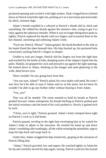puckered opening and circled it with light strokes. Dark-winged brows knitted down as Patrick tested the tight rim, probing at it as it nervously quivered under his thick, insistent digit.

Adam's breath expelled in a *whoosh* as Patrick's thumb slid in, thick and unyielding. He rubbed his thumb against the sensitive skin, trying to get it to relax against the unknown intruder. When it was no longer biting down quite so tightly, Patrick replaced his thumb with two fingers and scissored them in the hot channel, stretching and softening Adam's hole.

"Fuck me, Patrick. Please!" Adam gasped. His head thrashed to the side as his hands fisted the sheet beneath him. His hips bucked up, his puckered hole voraciously sucking Patrick's fingers in deeper.

Unable to wait any longer, Patrick slid his fingers out from the tight heat and reached for the bottle of lube, dumping more of the slippery liquid into his palm. Shakily, he gripped his cock and pressed it up against the tight opening. He looked down at Adam, drinking in the hunger and need glittering in the wide, deep brown eyes.

There wouldn't be any going back from this.

"Are you sure, Adam?" Patrick asked, his voice shaky with need. He wasn't sure how he'd be able to stop if Adam said no at this point, but he knew he wouldn't be able to go any further either without hearing it from Adam.

"Yes, yes!"

That was all he needed. The room seemed to hold its breath as Patrick pushed forward. Adam whimpered, his breath hitching as Patrick pushed past the initial resistance and the head of his cock pushed in. Slowly it gained inch by inch.

"Christ, you're tight," Patrick groaned. Adam's body clamped down tight on Patrick's cock as it slid home.

Patrick paused, reveling in the tight heat enveloping him as he waited for Adam's body to adjust to the intrusion. He stroked his hand up and down Adam's trembling side soothingly, all the while resisting the animalistic urge to snap his hips back and surge back in.

Under him, Adam wriggled his hips tentatively, gasping at the sensation of Patrick filling him.

"Adam," Patrick growled, low and urgent. He watched tightly as Adam bit his lip and carefully moved his hips again, testing. Patrick could see the myriad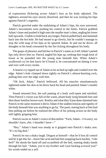of expressions flickering across Adam's face as his body adjusted. The tightness around his eyes slowly dissolved, and then he was rocking his hips against Patrick's urgently.

Patrick growled under the undulating of Adam's hips, his eyes narrowed. Adam's movements were pushing his control to the limits. Patrick grabbed Adam's knee and pushed it high onto the smaller man's chest, angling his lower half upwards. Unable to hold back any longer, Patrick pulled back and slammed back into the hot hole. He had meant to go slowly, but he couldn't manage to stop the wild snap of his hips as he speared Adam. In and out he drove, all thoughts in his head consumed by the fire licking throughout his body.

The gasps of pleasure and hitches in Patrick's name as it left Adam's parted lips only drove him on. Patrick angled his hips up, seeking that rough knot of tissue as he pounded into the young man beneath him. When Adam's swallowed cry let him know he'd found it, he concentrated on hitting it over and over with every stroke.

A hoarse cry ripped out of Adam as he arched up tight and crashed over the edge. Adam's hole clamped down tightly on Patrick's almost-bursting cock, pulling him over the edge with him.

"Oh fuck, Adam," Patrick bellowed. All his muscles simultaneously tightened under his skin as he threw back his head and painted Adam's insides white.

Sound returned first, the soft panting of a body well-spent and satisfied. Then Patrick's vision was full of the warm, pliant body lying beneath him and then those familiar brown eyes. Reality and what they'd just done slammed into Patrick in the same moment it did to Adam if the sudden tension and rigidity of the body beneath him was anything to go by. The panic staring back at him had him pulling out before he realized the effect of his jerking action on the body still tightly gripping him.

Patrick swore at Adam's wince of discomfort. "Fuck, Adam—I'm sorry, we shouldn't have, *shit*, *I* shouldn't have—"

"Hey." Adam's hand was steady as it gripped onto Patrick's shaky arm. "It's no big deal."

Patrick let out a shaky laugh. Disgust at himself—that he'd lost all control and let it get this far—burnt like acid and had him snapping back harshly. "*Like hell!*" He shook the hand off and scrambled off the bed, running shaky hands through his hair. "Adam, you're my *brother* and I just fucking *screwed* you!" his words ended on a yell.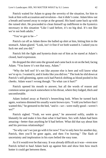Patrick waited for Adam to grasp the severity of the situation, for him to look at him with accusation and revulsion—but it didn't come. Adam blew out a breath and turned away to swipe at the ground. His hand came back up with the ruined shirt. He proceeded to clean himself up indifferent to the hysterics necessary in this situation "Like I said before, it's no big deal. It's not like we're not both adults."

"You've got to be—"

Patrick cut off as Adam threw the balled up shirt at him, hitting him in the stomach. Adam glared. "Look, isn't it fine if we both wanted it. I asked you to fuck me and you did."

Patrick felt the fight and hysteria drain out of him as he stared at Adam's closed, hard expression.

He dropped the shirt onto the ground and came back to sit on the bed, facing Adam. "You know it's not that easy, Adam."

"Why the hell not? It's not like anyone else is here and will know what we're up to. I wanted it, and it looks like you did too." The look he slid down at Patrick's still glistening, spent cock had Patrick shifting as blood pooled in his cheeks. Adam wasn't wrong though. "So what can it hurt?"

Patrick opened his mouth to answer, but all the words of reason and common sense got stuck somewhere in his throat, where they lodged, thick and uncomfortable.

Adam looked away at Patrick's beseeching look. When he turned back again, wariness dimmed his usually warm brown eyes. "I told you before that I wanted this," he gestured to the bed, "and it—*we*—were really good—weren't we?"

Patrick sighed. "Yeah, we were great," he answered softly, unable to blatantly lie and make it less than what it had been. Sex with Adam had been amazing—better than anything he'd had before. What did that say about him and his previous relationships?

"So why can't we just go with it for now? You're only here for another day, Patrick, then you'll be gone again, and then I'm leaving." The flash of uncertainty and imploration in his eyes belied the easy tone.

As if it would ever be that easy. It was already difficult as it was—even now Patrick itched to haul Adam back up against him and show him how much hotter it could get between them.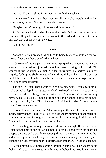"It's not like I'm asking for forever. It's only the weekend."

And Patrick knew right then that for all his shaky morals and earlier protestations, he wasn't going to be able to say no.

"Maybe it won't be so good the second time 'round."

Patrick growled and crushed his mouth to Adam's in answer to the mused comment. He pushed Adam back down onto the bed and proceeded to show him that that was clearly *not* the case.

And it *was* hotter.

\*\*\*\*

"Adam," Patrick groaned, as he tried to brace his feet steadily on the wet shower floor on either side of Adam's knees.

Adam circled his wet palm over the angry purple head, studying the way the erect cock twitched and jumped up at him, barely fitting in his hold. "No wonder it hurt so much last night," Adam murmured. He shifted his knees slightly, feeling the slight twinge of pain throb dully in his ass. The burn as Patrick had entered him last night had given away to something so pleasurable it had been almost painful.

The cock in Adam's hand seemed to bob in agreement. Adam gave a small shake of his head, pulling his attention back to the task at hand. The sticky drop oozing from the tip begged to be tasted, and Adam wasn't going to deny himself. He stroked his thumb over the slit and popped it into his mouth, sucking at the salty fluid. The spicy taste of Patrick unfurled on Adam's tongue, curling low in his stomach.

It wasn't Patrick's chest, but Adam was right, the taste did remind him of sweet, earthy honey—but with a kick of heat. Adam hummed in appreciation. Without an ounce of thought to the torture he was putting Patrick through, Adam licked and sucked his thumb with pleasure.

After wanting for so long, the small taste wasn't enough. He needed more. Adam popped his thumb out of his mouth to run his hand down the shaft. He gripped the base of the swollen erection jerking impatiently in front of his face and looked up at Patrick through his lowered lashes. Adam grinned saucily and dripped his head, enveloping the pulsating bulb into the wet heat of his mouth.

Patrick hissed, his fingers carding through Adam's wet hair. Adam could feel Patrick's dark, intense gaze on him as he bobbed his head lower. He let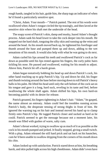rough hands, tangled in his hair, guide him, the sharp tugs an indicator of when he'd found a particularly sensitive spot.

"Christ, Adam. Your mouth—" Patrick panted. The rest of his words were swallowed when Adam's tongue circled the tip teasingly, and then laved at the sensitive skin where his shaft met the underside of the head.

The soapy scent of Patrick's skin, damp and musky, hazed Adam's thought process. Adam sank his head lower to take the cock deeper into his mouth. He mapped out the hard shaft, tonguing the silky skin and running up the veins and around the head. As his mouth moved back up, he tightened his forefinger and thumb around the base and pumped them up and down, adding to the wet sensations of his mouth. It would also help with what he was going to do next.

Adam curled his lips around his teeth and swallowed Patrick's cock as far down as possible until his lips rested against his fingers, the curly pubic hairs tickling his nose. He paused and swallowed, waiting for his mouth to adjust. Above him, Patrick bit off a harsh groan.

Adam began tentatively bobbing his head up and down Patrick's cock, his other hand reaching up to grip Patrick's hip. Up and down he slid, his finger and thumb twisting around the base before moving down to roll Patrick's heavy balls in his palm. He lifted his head until only the soft helmet of the cock sat on his tongue and gave it a long, hard suck, reveling in its taste and feel, before swallowing the whole shaft again. Adam shifted his hips, his own hard-on becoming painful with its desire for release.

Patrick groaned, his fingers tightening in Adam's hair. "Adam," he gasped, the name almost an entreaty. Adam could feel the trembles running across Patrick's body, the desperate tensing of strong thighs in front of him. He ignored the warning tug on his hair and instead moved his hand up to clamp firmly onto Patrick's hip. He tugged Patrick closer and sucked as hard as he could. Patrick seemed to get the message because not a moment later, his mouth was filled with gushes of warm, salty cum.

Adam's throat worked, trying to swallow up as much of it as possible as the cock in his mouth pumped and jerked. It finally stopped, giving a small twitch. With a plop, Adam released the still hard prick and sat back on his haunches, cum he'd been unable to swallow dripping from the corners of his mouth down his chin.

Adam looked up with satisfaction. Patrick stared down at him, his breathing harsh, and skin pulled tight across his high cheekbones. Adam didn't even have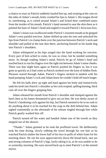a chance to react as Patrick suddenly hauled him up, and swiping at the cum on the sides of Adam's mouth, hotly crushed his lips to Adam's. His tongue dived in, unrelenting, as it curled around Adam's and licked their combined tastes from the insides of his mouth. Patrick's hand seemed to sear the skin there as it palmed the base of Adam's head and angled it toward Patrick's ferocious kiss.

Adam's moan was swallowed under Patrick's insistent mouth as he gripped Adam's own painful erection. Adam shifted up onto his toes and unlocked his lips from Patrick's to clamp them over the junction between Patrick's neck and shoulder and pulled at the taut skin there, anchoring himself as his hands dug into Patrick's shoulders.

Adam whimpered as his hips surged into the hand working his erection. Every part of him ached to come, he was so close, but he needed something more. As though reading Adam's mind, Patrick let go of Adam's head and reached back to run his fingers over the tight rim between Adam's tense cheeks. There was that slight burn again as Patrick pushed his fingers in, but it was gone as quickly as it had come as Patrick stroked over the knot of hidden flesh. Pleasure seared through Adam. Patrick's fingers stroked in tandem with his hand pumping Adam's cock and Adam knew he couldn't hold off much longer.

He felt his balls drew up tight and hard against his body and instinctively sank his teeth into Patrick's shoulder as his cock erupted, spilling burning, thick cum all over the fingers gripping him.

Adam released his mouth from Patrick's shoulder and slumped against the hard chest as his knees threatened to give out on him. He was dimly aware of Patrick's hardening cock against his hip, but Patrick seemed to be in no rush to do anything about it as he reached for the soap in the dish behind him. Adam sighed contentedly as the aftermath of his release tingled through him while Patrick gently washed him off.

Patrick turned off the water and handed Adam one of the towels as they stepped out of the shower.

"Thanks." Adam grinned as he took the proffered towel. He deliberately took his time drying, slowly rubbing the towel through his wet hair as he watched Patrick slather the lower half of his face in puffs of white foam for his morning shave. He ran his eyes appreciatively down the broad back, taut ass and strong columns of Patrick's legs, lazily taking it in, as he was unable to do so yesterday morning. His eyes moved back up to meet Patrick's in the misted mirror.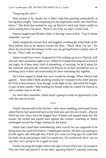"Enjoying the view?"

Heat pooled in his cheeks but it didn't stop him grinning unabashedly at having been caught. "Just comparing it to the impressive earlier one I had from below." The flush that worked its way up Patrick's neck had Adam unable to resist teasing him a bit more. "Now if you'll let me take a closer look…"

Patrick laughed and flicked a blob of shaving cream at him. "You're damn insatiable. Get out."

Adam dodged the second flick and laughed, avoiding the white blob on the floor behind him as he backed toward the door. "Okay, okay I'm out." He threw his towel into the hamper on the way out, giving Patrick a jaunty view of his ass. "Don't take too long."

Adam would have never imagined he'd be waking up next to Patrick, stiff and sore after an intense night of sex. When he'd made that proposal to Patrick last night, he'd been tired, tired of pretending, of resisting. So he'd asked for the weekend and stoically refused to let Patrick in on how terrified he was of reverting back to their old relationship for their remaining day together.

He'd been stupid to think that once would be enough. When Patrick had agreed… Adam didn't think anything would ever compare to the relief and joy he'd felt at that moment. Now though, in the light of day, that relief felt fragile. A part of him couldn't help holding his breath while he waited for Patrick to call a sudden stop to all this.

So, more than insatiable, Adam wasn't going to waste an opportunity to be with the man he loved.

\*\*\*\*

Finally dressed and in the kitchen—after more fumbling and heated kisses when Patrick had sauntered back in the bedroom sans his own towel—Patrick lifted out four slices from the bagged loaf of bread and popped them into the toaster. He turned and leaned back against the counter, watching as Adam rummaged around the fridge looking for the butter.

Adam had a hard time remembering what exactly he was supposed to be doing when he could feel Patrick's heated gaze on him. He skin was starting to prickle again, and although they'd both just come not long ago, he could feel his body sit up and prepare itself for round two. He swallowed; *there was no way they were going to do it again so soon.*

Finally locating the bright yellow tub right in front of his eyes, he swiped it from the shelf and placed it on the table, ignoring Patrick's amused, knowing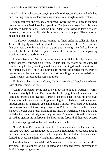smile. Thankfully, his accompanying search for the peanut butter and jelly had him locating them instantaneously without a stray thought of naked skin.

Adam gathered the spreads and turned toward the table, only to stumble back a step when Patrick stalked up to him. The jars were taken from his hands and placed back on a shelf behind him. Adam swallowed as Patrick's eyes narrowed, the blue hardly visible around the dark pupils. There was no mistaking that look.

"You know," Patrick drawled, running his finger under the collar of Adam's T-shirt. He lightly caressed the skin there as he advanced closer. "It's not fair that you were the only one who got a taste this morning." He flicked his eyes down to the front of Adam's pants, where the outline of Adam's growing erection pressed eagerly forward.

Adam shivered as Patrick's tongue came out to lick at his lips, the action almost obscene following his words. Adam panted, rooted to the spot. He couldn't stop his body leaning into the big hand running down his chest even if he wanted to. His T-shirt did nothing to muffle the heated touch. Patrick reached under the hem, and trailed that torturous finger along the waistline of Adam's pants, caressing the soft skin there.

His hot breath teased Adam's ear, "I think before breakfast, I want to have a taste of something else first."

Adam whimpered, trying not to swallow his tongue at Patrick's words. Adam could only follow as Patrick angled his body, guiding Adam toward the table and pressed him against it. Patrick stepped back to run his eyes over Adam's form, his gaze a scorching caress. Tightly coiled anticipation hummed through Adam as Patrick divested him of his T-shirt. He watched, eyes glued to every movement of those long fingers, as Patrick reached for his fly and snapped it open. His breath caught in his throat as Patrick kneeled down and pulled at the zipper, slowly unveiling his prize. Adam's erection throbbed and pushed up against his underwear, his hips rolling forward of their own accord.

Adam's eyes glued to the dark head at his crotch.

"I don't think I'm the one insatiable," Adam stammered as Patrick leaned forward. *Ah, fuck.* Adam shuddered as Patrick mouthed his erect cock through the dark, damp underwear and sucked against the hard shaft. His dark eyes danced up at Adam, silently laughing at Adam's comment.

The thin layer of material didn't seem to provide any barrier at all, if anything, the roughness of his underwear heightened every movement of Patrick's exploring tongue.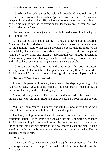Adam braced himself against the table and surrendered to Patrick's mouth. He wasn't even aware of his jeans being pushed down until the rough denim sat in a puddle around his ankles. His underwear followed their descent as Patrick hooked his thumbs into the waistband and pulled them down, releasing his cock from its damp confines.

Hard and dusky, his cock jutted out angrily from the nest of dark, wiry hair as it sprang free.

Patrick seemed too intent on taking his time, on drawing out the torture to Adam's cock as he curled one hand onto Adam's hip, his other trailing a finger up the straining shaft. When Adam thought he could take no more of the studied delay, Patrick leaned forward and ran his tongue over the weeping head, laving the sticky fluid. His moan of appreciation was already threatening Adam's ability to remain standing when he curled his tongue around the head and sucked hard, pushing his tongue against the sensitive slit.

Adam cantered his hips forward and tried to push his cock in deeper, seeking more of that wet heat. Disappointment wrung through him when Patrick released Adam's cock to give him a gentle, but stern, slap on the butt.

"Be good," Patrick reprimanded.

Adam whimpered and nodded, the smart of the slap only adding to his heightened state. *Good*, he could be good*.* If it meant Patrick not stopping the torturous pleasure, he'd be a fucking boy scout.

Adam had barely taken in Patrick's satisfied smirk when he lowered his mouth back onto the shiny head and engulfed Adam's cock in one smooth descent.

"*Shi—t*," Adam gasped. His fingers dug into the smooth wood of the table behind him—the only thing holding him up at this point.

The long, pulling draws on his cock seemed to suck out what was left of conscious thought. He felt Patrick's hands dig into his tight buttocks, and then Patrick was guiding Adam in and out of his mouth. Adam took the cue and thrust deeper into Patrick's mouth as the clever mouth sucked and nibbled at his erection. He felt his balls draw up and the warning tingle start when Patrick suddenly released him.

"What—?"

"Get on the table," Patrick demanded, roughly. It was obvious from his harsh expression, and the bulging vein on the side of his neck, that this was far from over.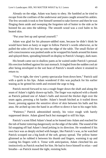Already on the edge, Adam was hasty to obey. He fumbled as he tried to escape from the confines of the underwear and jeans caught around his ankles. The few seconds it took to free himself seemed to take forever and then he was flinging them aside and sweeping the forgotten tub of butter to the side as he hoisted his ass onto the tabletop. The smooth wood was a cool balm to his heated skin.

"Put your feet up and spread yourself."

Adam was glad for his pleasure-addled state, because he didn't think he would have been as hasty or eager to follow Patrick's words otherwise, as he pulled the soles of his feet up onto the edge of the table. The small flicker of self-consciousness was pushed aside as he wrapped his hands around his knees and splayed them, spreading himself on display to Patrick's hungry, dark stare.

His breath came out in shallow pants as he waited under Patrick's perusal. His erection bobbed against his taut stomach. It tingled from the sudden cool air after being enveloped in the wet heat of Patrick's mouth where it strained to return to.

"You're right, the view's pretty spectacular from down here," Patrick said with a quirk to his lips. Adam wondered if this was payback for his earlier teasing as he gritted his teeth and resisted the urge to beg.

Patrick moved forward to run a rough finger down the shaft and along the seam of Adam's tightly drawn-up balls. The finger was replaced with a thumb as Patrick palmed one of Adam's balls and moved the thicker digit over the seam again, pressing a bit harder. Adam's breath hitched as it trailed down lower, pressing against the sensitive sliver of skin between his balls and his anus. He arched up into the hand in an effort to direct it fast to his eager hole.

"Patience," Patrick admonished sternly, his voice rough with barely suppressed desire. Adam glared back but managed to still his hips.

Patrick's scent filled Adam's head as he leaned into Adam and reached for the tub of butter tottering dangerously on the edge of the table. The sound of the lid snapping off had Adam's head jerking in its direction. He wondered if his own face was as deeply etched with hunger, like Patrick's was, as he watched Patrick scooped out a big knob of the soft, greasy spread. The yellow butter glistened as he rubbed it between his thumb and fingers, warming it up and coating his fingers with it. Tense with anticipation, Adam clenched his ass instinctively as Patrick reached for him. He had to force himself to relax—and breathe—as Patrick teased the tight, resisting hole.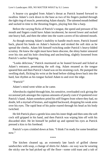A hoarse cry gurgled from Adam's throat as Patrick leaned forward to swallow Adam's cock down to the base as two of his fingers pushed through the tight ring of muscle, penetrating Adam sharply. The talented mouth bobbed and sucked in time to the thrusting fingers, playing him like a harp.

Before the varying flicks of Patrick's tongue, the speed and pressure of his mouth and fingers could have Adam incoherent; he moved lower and sucked one heavy ball, and then the other into the warm cavern of his talented mouth.

As though sensing Adam's inability to handle much more, Patrick leaned back, placed his hands on Adam's buttocks and stroked the soft skin as he spread the cheeks. Adam felt himself twitching under Patrick's heavy-lidded scrutiny. He knew the sight must have been obscene, the shiny butter smeared over his rim and his hole clenching and unclenching, slightly loosened from Patrick's earlier fingering.

"Looks delicious," Patrick murmured as he leaned forward and licked at Adam's entrance, penetrating the soft ring. Adam moaned as the tongue speared him and then Patrick's hand was on his straining cock. He pumped the swelling shaft, flicking his wrist at the head before sliding down back into the hard, fast rhythm as his tongue fucked Adam to and over the edge.

"Patrick!"

Adam's mind went white as he came.

Aftershocks rippled through him, his sensitive, overloaded cock giving the occasional jerk amongst the copious amounts of pearly cum it'd sputtered over Patrick's hand. Adam somehow pried his stiff fingers from where they had, no doubt, left a myriad of bruises, and toppled backward, dropping his weak arms over his eyes. The rapid beat of his pulse roared through his head as his body twitched.

He felt Patrick place a gentle kiss onto his inner thigh and then onto the soft cock still gripped in his hand, and then Patrick was wiping him off with his discarded shirt. He let himself be pulled up and opened his eyes as Patrick pressed a kiss to his forehead.

Patrick's eyes crinkled down at him. "I think I'm ready for some breakfast now."

\*\*\*\*

The kitchen cleaned up, an extremely late lunch of grilled cheese sandwiches with soup, a change of shirts for Adam—no way was he wearing the sticky one he had picked up off the floor—some cold toast and a tub of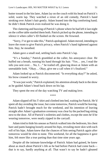butter tossed in the bin later, Adam lay on the couch with his head on Patrick's solid, warm lap. They watched a rerun of an old comedy, Patrick's hand stroking over Adam's hair gently. Adam leaned into the big comforting hand; he didn't think Patrick even realized he was doing it.

The clattering and buzzing of Patrick's phone where he had left it last night on the coffee table startled them both. Patrick picked up the phone, intending to silence it when caller's ID flashed on the screen. He frowned.

"Sorry, I've got to take this," Patrick apologized. Adam moved, intending to leave the room to give Patrick privacy, when Patrick's hand tightened against him. *Stay*, he mouthed.

Adam gave a small nod, settling back onto Patrick's lap.

"It's a Sunday," Patrick grumbled at the caller, his annoyance clear. He huffed out a breath, running his hand through his hair. "Yes… yes, I read the info you sent over… No, I…" he trailed off, glancing down at Adam with an unreadable look. "Okay… Okay, give me a call when it's finalized."

Adam looked up as Patrick disconnected. "Is everything okay?" he asked, his brow creased in worry.

"It was just work," Patrick explained, his attention already back to the show as he guided Adam's head back down on his lap.

They spent the rest of the day watching TV and making love.

\*\*\*\*

Adam slipped off his T-shirt and climbed into bed, waiting for Patrick. He'd spent all day avoiding the issue, but come tomorrow, Patrick would be leaving. Patrick hadn't brought much for the weekend, and his intention of leaving straight after Adam's graduation ceremony was clear by the packed bag sitting next to the door. All of Patrick's toiletries and clothes, except the ones he'd be wearing tomorrow, were neatly zipped in the carryall.

Adam tried to hide his unease as Patrick walked into the bedroom, his chest bare and pants hanging loosely around his hips, revealing more skin with each roll of his hips. Adam knew that the chances of him seeing Patrick again after tomorrow would be slim to none. This weekend, for all the happiness it gave him, felt more like a true parting than that time nine years ago.

Despite all the intimate knowledge of Patrick Adam had gained, he knew about as much about Patrick's life as he had before Patrick had come back that is to say, hardly anything at all. That wasn't to say he hadn't gleaned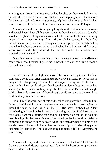anything at all from the things Patrick had let slip, but how would knowing Patrick liked to cook Chinese food, that he liked shopping around the markets for a various odd, unknown ingredients, help him when Patrick left? Adam couldn't very well stalk out all the Asian supermarkets around Raleigh.

Adam had avoided mentioning anything about the future after tomorrow, and Patrick hadn't been all that open about his thoughts on it either. Adam slid a look at his phone, sitting innocuously on his bedside table, the alarm waiting to go off tomorrow morning. If he slid through his contact list, he'd find Patrick's number, so it wasn't as though he couldn't get in touch with him if he wanted to, but how were they going to go back to being brothers—did he even know how to, and if he couldn't do that, and he couldn't be Patrick's lover, where did that leave him?

One thing seemed to be clear though, this—*whateverit was*—would be over come tomorrow, because it just wasn't possible to expect a future from a doomed relationship.

\*\*\*\*

Patrick flicked off the light and closed the door, moving toward the bed. While he'd come back after intending to stay away permanently, never had he imagined this happening. Oh sure, he had *imagined* being with his brother being with *Adam—*but his dreams had been the product of nothing more than starving, unfilled desire for his younger brother, and what Patrick had thought he'd be like today. Not one of them though, could compare to the real thing he'd finally gotten into his arms.

He slid into the worn, soft sheets and reached out, gathering Adam to him. In the dark of the night, with only the moonlight barely able to peek in, Patrick kissed the man he had loved all his life. His heart throbbed as Adam unhesitatingly kissed him back, tasting of yearning and love. Patrick stroked the dark locks from the glittering gaze and pulled himself on top of the younger man, bracing him between his arms. He trailed tender kisses along Adam's forehead, one on top of each delicate eyelid, and then down the column of his slender nose to his mouth, He nibbled at the soft lips, and when they parted instinctively, delved in. The kiss was long and tender, full of everything he couldn't say.

\*\*\*\*

Adam reached up and winded his arms around the back of Patrick's neck, drawing the mouth deeper against his. Adam felt his heart break apart anew; this would be the last time.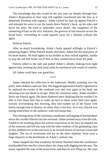The knowledge that this would be the last time cut sharply through him. Adam's desperation at their time left together transferred into the kiss as it deepened, flooding with urgency. Adam rocked his hips up against Patrick's and released his arms to run his hands down Patrick's back, up his sides and down his arms. He tried to remember every detail—the roughness of the smattering of hair on the wiry forearms, the grooves of taut muscles across the broad back—everything he could squirrel away for a lifetime without this again.

Without Patrick.

After so much lovemaking, Adam's body opened willingly to Patrick's preparing fingers. When Patrick finally slid home, Adam felt the final piece of his heart shatter. He held tightly to his brother as they rocked together, unable to stop the sob that broke out of him as they crashed down from the peak.

Patrick rolled to the side and pulled Adam's silently shaking form tight against him, stroking the dark head while he murmured soft words of comfort.

\*\*\*\*

All Adam could hear was good-bye.

Adam checked his reflection in the bathroom, blindly scanning over the puffy, dark shadows and wan skin. His haggard appearance barely registered as he replayed the events of the weekend over and over again in his head, not allowing even one detail to escape. After the ceremony today, Adam wouldn't likely see Patrick again. His heart shattered anew thinking that he wouldn't be able to kiss those firm lips or wake up next to those warm blue eyes again. Grossly oversleeping this morning, they had rushed out of the house with barely enough time to shower, let alone share a last kiss. As it was, Patrick was sitting somewhere in the audience with still-damp hair.

The echoing shout of the ceremony coordinator and tapping of hurried shoes down the corridor filtered into the restroom. Adam pushed away from the sink. Unable to do anything about the solemn expression on his face, he stepped out of the restroom and fell into step with the other students of his graduating class as they ambled over to the entryway in an excited chatter of nervous voices and laughter. The sea of excitement and joy on the other students' faces were a huge disparity to the heartbreak on Adam's solitary one.

Adam stepped into line woodenly; he barely flinched when the coordinator manhandled him into his correct place, her sharp nails digging into his arm. The music signaled the start of the procession, and then he was filing out. His eyes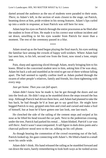darted around the audience as the sea of students were paraded to their seats. *There*, to Adam's left, in the section of seats closest to the stage, sat Patrick, beaming down at him, pride evident in his strong features. Adam's lips curled up into a smile in response; at least Patrick was still here for now.

Adam kept his eyes on Patrick through the entire procession as he filed after the student in front of him. He made it to his correct seat without incident and sat down, unwilling to let his eyes wander from Patrick for more than a moment. The rest of the ceremony passed in a blur.

\*\*\*\*

Adam stood up as the band began playing the final march, his eyes seeking the familiar face among the crowds of happy well-wishers. Where Adam had last seen him, to his left, second row from the front, now stood a lone, empty seat.

Pain, sharp and agonizing sliced through Adam, nearly bringing him to his knees. Blind to the concerned student next to him, asking him if he was okay, Adam bit back a sob and stumbled as he tried to get out of there without falling apart. The hall seemed to rapidly confine itself as Adam pushed through the swarm of other people's relatives, family and friends, his chest tightening with every step.

#### *Just get home. Then you can fall apart.*

Adam didn't know how he made it, but he got through the doors and out into the fresh air. He didn't stop as he stumbled down the steps toward the bus stop. Although Patrick had driven them here, and Adam had planned to take the bus back, he had thought he'd at least get to say good-bye. He might have begged Patrick to stay, gripped onto him and cried and cursed and make a fool of himself, but at least he'd have gotten one last look, one last touch.

He clenched the side of the railing of the cement steps and swiped at his nose as he lifted his head toward the car park. Next to the pedestrian crossing, under the tree, Patrick had parked his rental… Adam blinked. *Patrick's car was still there.* And it wasn't unaccompanied. A tall figure in dark dress pants and a charcoal pullover stood next to the car, talking on his cell phone.

As though hearing the commotion of the crowd swarming out of the hall, Patrick looked up, his gaze connecting with Adam's. He lifted a hand in a small wave his smile wide.

Adam didn't think. His hand released the railing as he stumbled forward and ran down the stairs, barely remembering to look both ways as he rushed across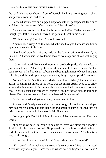the road. He stopped short in front of Patrick, his breath coming out in short, sharp pants from the mad dash.

Patrick disconnected and slipped his phone into his pants pocket. He smiled at Adam, his gaze warm. "Congratulations," he said softly.

Censure and confusion lined his brow as he huffed. "What are you—? I thought you left." His tone betrayed the pain still tight in his chest.

"Without saying good-bye?" Patrick frowned.

Adam looked away. *Yes*, that was what he had thought. Patrick's hand came up to cup the side of his face.

"I told you I wouldn't miss my little brother's graduation for the world, and I meant it," Patrick said, with a tender look. "I was so proud of you walking up there."

Adam swallowed. He wanted more than brotherly pride. He wanted… he just wanted *more*. Adam kept his eyes down, unable to meet Patrick's clear gaze. He was afraid he'd start sobbing and begging him not to leave him again if he did, and those deep blue eyes saw everything, they stripped Adam raw.

"Adam," Patrick's soft voice curled around him. "Adam," Patrick intoned again. The intimate timbre of his voice was too much. Adam tried to swallow around the tightening of his throat as his vision wobbled. He was not going to cry. He grit his teeth and refused to let Patrick see he was too close to falling to pieces. Patrick must have noticed though—hadn't he always?

Patrick groaned and gathered the younger man to him.

Adam couldn't help the shudder that ran through him as Patrick enveloped him against his chest. The familiar heat and smell of Patrick seeped into his skin, calming the ache in his chest. It felt like home.

So caught up in Patrick holding him again, Adam almost missed Patrick's words.

"I don't know how I'm going to be able to leave you alone for a month," Patrick said, his voice tortured. He pressed his face into the dark hair that hadn't been able to be tamed, even for such a serious occasion. "The first time was hard enough."

Adam's head nearly clipped Patrick's as it shot back. "A month?"

"I'm sorry I had to rush out at the end of the ceremony." Patrick grimaced. "That was my boss again—he's the one who's been calling me all weekend."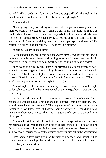Patrick laid his hands on Adam's shoulders and stepped back, the look on his face hesitant. "I told you I work for a firm in Raleigh, right?"

Adam nodded.

"I was going to say something when you told me you're moving there, but there've been a few issues, so I didn't want to say anything until it was finalized and I was certain. I mentioned to you before how busy work's been it's been hell because they've been trying to free me up for this contract. It's for a big project in Seattle—and they want me to head up the production team." He paused. "If all goes as scheduled, I'll be there in a month."

"Seattle?" Adam echoed dimly.

Patrick nodded, the smile that had had Adam almost swallowing his tongue halfway through the explanation dimming as Adam frowned back at him in confusion. "You're going to be in Seattle? *You're going to be in Seattle!*"

"I'm going to be in Seattle," Patrick confirmed. He almost stumbled back when Adam leapt against him to fling his arms around the back of his neck. Adam felt Patrick's arms tighten around him as he buried his head into the crook of Patrick's neck; *this wouldn't be their last time together.* "That's if you're willing to wait for me. It might take longer."

Adam laughed into the dark hair tickling his nose. "Stupid." A month might be long, but compared to the time it had taken them to get here, it was going to be nothing.

Patrick pulled back but kept his arms circled around Adam's waist. "You proposed a weekend, but I only got one day. Though I think it's clear that that would never have been enough." The wry smile left his mouth as his arms tightened. "You know, even if I wasn't being transferred, I would still have made it to wherever you are, Adam. I wasn't going to let you go a second time. I love you."

Adam's heart hitched. He took in the fierce expression and the love reflecting so brightly in those deep blue eyes that refused to let him go and he felt that ever present tightness in his chest slowly unravel and dissolve into the still, warm air, carried away by the excited chatter indistinct in the background.

He'd been in love with this man for nearly a decade, and though it had never been easy—and it probably still never would be—he knew right then that it had always been worth it.

It would always be worth it.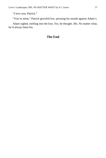"I love you, Patrick."

"You're mine," Patrick growled low, pressing his mouth against Adam's.

Adam sighed, melting into the kiss. *Yes*, he thought. *His.* No matter what, he'd always been his.

### **The End**